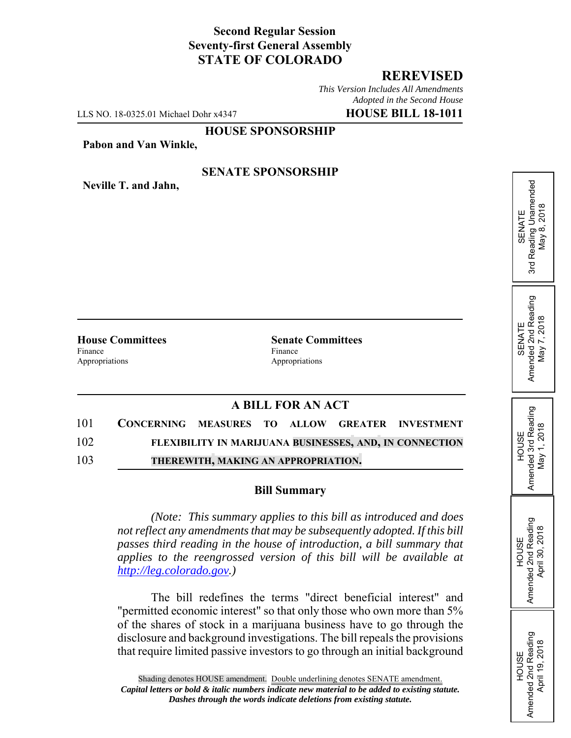# **Second Regular Session Seventy-first General Assembly STATE OF COLORADO**

## **REREVISED**

SENATE<br>Reading Unamended<br>May 8, 2018 3rd Reading Unamended May 8, 2018

 $\frac{3}{10}$ 

SENATE<br>Amended 2nd Reading<br>May 7, 2018 Amended 2nd Reading May 7, 2018

HOUSE<br>Amended 3rd Reading Amended 3rd Reading May 1, 2018

May 1, 2018

HOUSE Amended 2nd Reading April 30, 2018

Amended 2nd Reading April 30, 2018

HOUSE Amended 2nd Reading April 19, 2018

Amended 2nd Reading<br>April 19, 2018

*This Version Includes All Amendments Adopted in the Second House*

LLS NO. 18-0325.01 Michael Dohr x4347 **HOUSE BILL 18-1011**

## **HOUSE SPONSORSHIP**

**Pabon and Van Winkle,**

#### **SENATE SPONSORSHIP**

**Neville T. and Jahn,**

Finance Finance **Finance** Appropriations Appropriations

**House Committees Senate Committees** 

# **A BILL FOR AN ACT**

101 **CONCERNING MEASURES TO ALLOW GREATER INVESTMENT** 102 **FLEXIBILITY IN MARIJUANA BUSINESSES, AND, IN CONNECTION** 103 **THEREWITH, MAKING AN APPROPRIATION.**

#### **Bill Summary**

*(Note: This summary applies to this bill as introduced and does not reflect any amendments that may be subsequently adopted. If this bill passes third reading in the house of introduction, a bill summary that applies to the reengrossed version of this bill will be available at http://leg.colorado.gov.)*

The bill redefines the terms "direct beneficial interest" and "permitted economic interest" so that only those who own more than 5% of the shares of stock in a marijuana business have to go through the disclosure and background investigations. The bill repeals the provisions that require limited passive investors to go through an initial background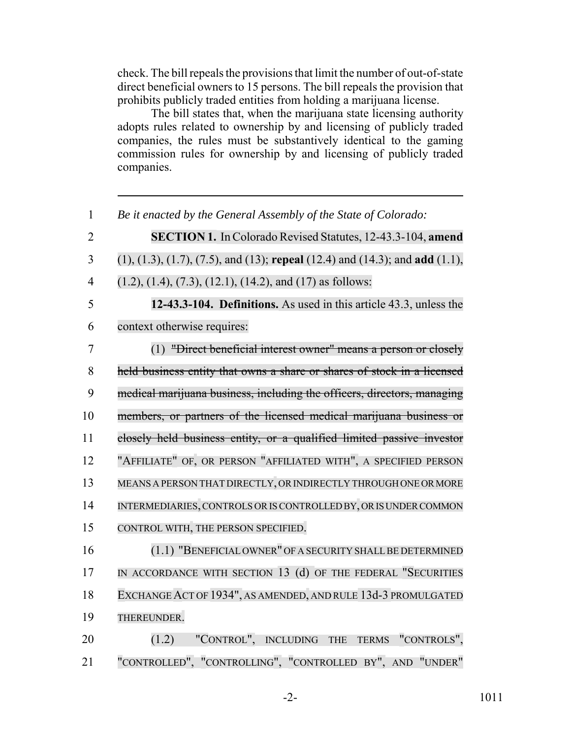check. The bill repeals the provisions that limit the number of out-of-state direct beneficial owners to 15 persons. The bill repeals the provision that prohibits publicly traded entities from holding a marijuana license.

The bill states that, when the marijuana state licensing authority adopts rules related to ownership by and licensing of publicly traded companies, the rules must be substantively identical to the gaming commission rules for ownership by and licensing of publicly traded companies.

 *Be it enacted by the General Assembly of the State of Colorado:* **SECTION 1.** In Colorado Revised Statutes, 12-43.3-104, **amend** (1), (1.3), (1.7), (7.5), and (13); **repeal** (12.4) and (14.3); and **add** (1.1), 4 (1.2), (1.4), (7.3), (12.1), (14.2), and (17) as follows: **12-43.3-104. Definitions.** As used in this article 43.3, unless the context otherwise requires: (1) "Direct beneficial interest owner" means a person or closely held business entity that owns a share or shares of stock in a licensed medical marijuana business, including the officers, directors, managing members, or partners of the licensed medical marijuana business or closely held business entity, or a qualified limited passive investor "AFFILIATE" OF, OR PERSON "AFFILIATED WITH", A SPECIFIED PERSON MEANS A PERSON THAT DIRECTLY, ORINDIRECTLY THROUGH ONE OR MORE INTERMEDIARIES,CONTROLS ORISCONTROLLED BY, OR IS UNDER COMMON CONTROL WITH, THE PERSON SPECIFIED. 16 (1.1) "BENEFICIAL OWNER" OF A SECURITY SHALL BE DETERMINED 17 IN ACCORDANCE WITH SECTION 13 (d) OF THE FEDERAL "SECURITIES EXCHANGEACT OF 1934", AS AMENDED, AND RULE 13d-3 PROMULGATED THEREUNDER.

20 (1.2) "CONTROL", INCLUDING THE TERMS "CONTROLS", 21 "CONTROLLED", "CONTROLLING", "CONTROLLED BY", AND "UNDER"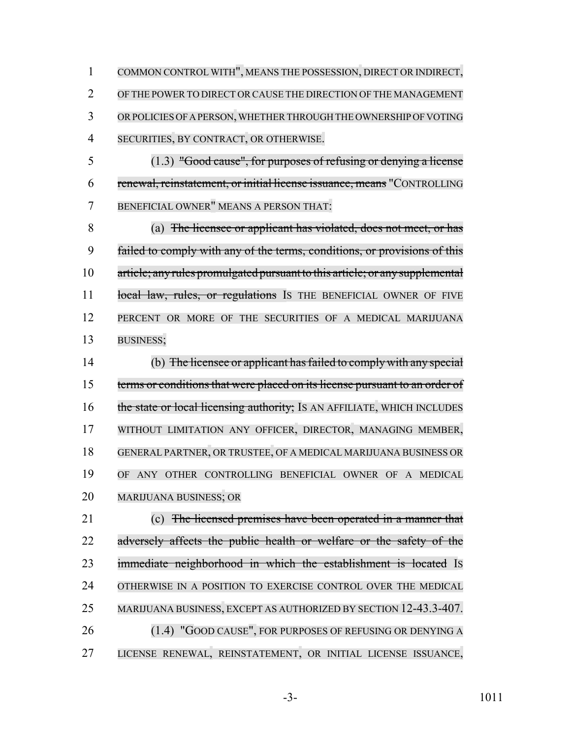COMMON CONTROL WITH", MEANS THE POSSESSION, DIRECT OR INDIRECT, OF THE POWERTO DIRECT ORCAUSE THE DIRECTION OF THE MANAGEMENT 3 OR POLICIES OF A PERSON, WHETHER THROUGH THE OWNERSHIP OF VOTING SECURITIES, BY CONTRACT, OR OTHERWISE.

 (1.3) "Good cause", for purposes of refusing or denying a license renewal, reinstatement, or initial license issuance, means "CONTROLLING BENEFICIAL OWNER" MEANS A PERSON THAT:

 (a) The licensee or applicant has violated, does not meet, or has failed to comply with any of the terms, conditions, or provisions of this article; anyrules promulgated pursuant to this article; or any supplemental 11 local law, rules, or regulations Is THE BENEFICIAL OWNER OF FIVE PERCENT OR MORE OF THE SECURITIES OF A MEDICAL MARIJUANA BUSINESS;

 (b) The licensee or applicant hasfailed to complywith any special 15 terms or conditions that were placed on its license pursuant to an order of 16 the state or local licensing authority; IS AN AFFILIATE, WHICH INCLUDES WITHOUT LIMITATION ANY OFFICER, DIRECTOR, MANAGING MEMBER, GENERAL PARTNER, OR TRUSTEE, OF A MEDICAL MARIJUANA BUSINESS OR OF ANY OTHER CONTROLLING BENEFICIAL OWNER OF A MEDICAL MARIJUANA BUSINESS; OR

 (c) The licensed premises have been operated in a manner that 22 adversely affects the public health or welfare or the safety of the immediate neighborhood in which the establishment is located IS OTHERWISE IN A POSITION TO EXERCISE CONTROL OVER THE MEDICAL MARIJUANA BUSINESS, EXCEPT AS AUTHORIZED BY SECTION 12-43.3-407. 26 (1.4) "GOOD CAUSE", FOR PURPOSES OF REFUSING OR DENYING A LICENSE RENEWAL, REINSTATEMENT, OR INITIAL LICENSE ISSUANCE,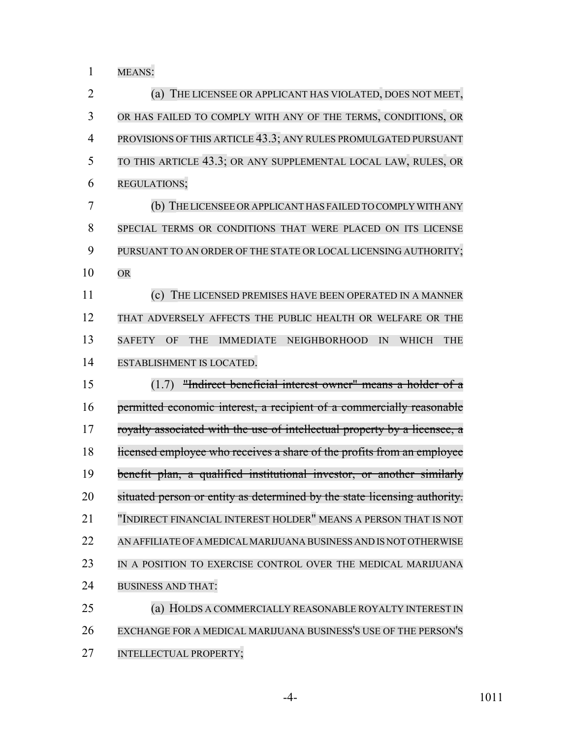MEANS:

| $\overline{2}$ | (a) THE LICENSEE OR APPLICANT HAS VIOLATED, DOES NOT MEET,                               |
|----------------|------------------------------------------------------------------------------------------|
| 3              | OR HAS FAILED TO COMPLY WITH ANY OF THE TERMS, CONDITIONS, OR                            |
| $\overline{4}$ | PROVISIONS OF THIS ARTICLE 43.3; ANY RULES PROMULGATED PURSUANT                          |
| 5              | TO THIS ARTICLE 43.3; OR ANY SUPPLEMENTAL LOCAL LAW, RULES, OR                           |
| 6              | REGULATIONS;                                                                             |
| 7              | (b) THE LICENSEE OR APPLICANT HAS FAILED TO COMPLY WITH ANY                              |
| 8              | SPECIAL TERMS OR CONDITIONS THAT WERE PLACED ON ITS LICENSE                              |
| 9              | PURSUANT TO AN ORDER OF THE STATE OR LOCAL LICENSING AUTHORITY;                          |
| 10             | <b>OR</b>                                                                                |
| 11             | (c) THE LICENSED PREMISES HAVE BEEN OPERATED IN A MANNER                                 |
| 12             | THAT ADVERSELY AFFECTS THE PUBLIC HEALTH OR WELFARE OR THE                               |
| 13             | <b>SAFETY</b><br>IMMEDIATE NEIGHBORHOOD<br><b>THE</b><br>OF<br><b>THE</b><br>IN<br>WHICH |
| 14             | ESTABLISHMENT IS LOCATED.                                                                |
|                |                                                                                          |
| 15             | "Indirect beneficial interest owner" means a holder of a<br>(1.7)                        |
| 16             | permitted economic interest, a recipient of a commercially reasonable                    |
| 17             | royalty associated with the use of intellectual property by a licensee, a                |
| 18             | licensed employee who receives a share of the profits from an employee                   |
| 19             | benefit plan, a qualified institutional investor, or another similarly                   |
| 20             | situated person or entity as determined by the state licensing authority.                |
| 21             | "INDIRECT FINANCIAL INTEREST HOLDER" MEANS A PERSON THAT IS NOT                          |
| 22             | AN AFFILIATE OF A MEDICAL MARIJUANA BUSINESS AND IS NOT OTHERWISE                        |
| 23             | IN A POSITION TO EXERCISE CONTROL OVER THE MEDICAL MARIJUANA                             |
| 24             | <b>BUSINESS AND THAT:</b>                                                                |
| 25             | (a) HOLDS A COMMERCIALLY REASONABLE ROYALTY INTEREST IN                                  |
| 26             | EXCHANGE FOR A MEDICAL MARIJUANA BUSINESS'S USE OF THE PERSON'S                          |

-4- 1011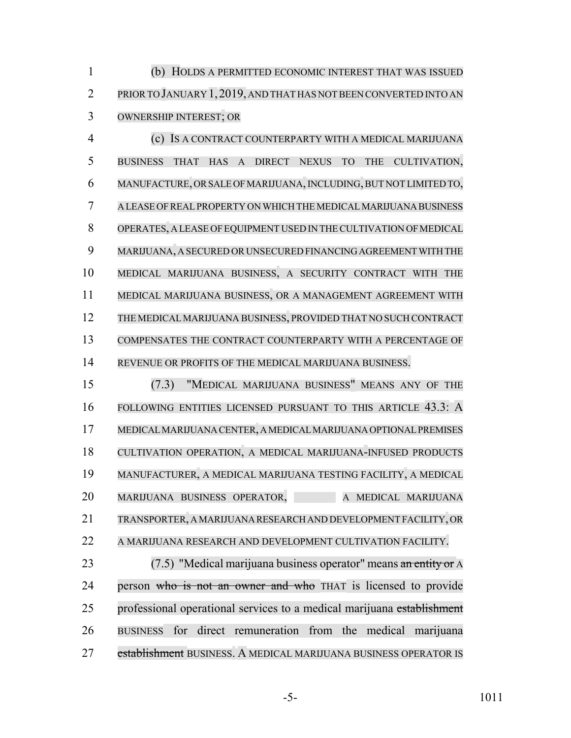(b) HOLDS A PERMITTED ECONOMIC INTEREST THAT WAS ISSUED PRIORTO JANUARY 1,2019, AND THAT HAS NOT BEEN CONVERTED INTO AN OWNERSHIP INTEREST; OR

 (c) IS A CONTRACT COUNTERPARTY WITH A MEDICAL MARIJUANA BUSINESS THAT HAS A DIRECT NEXUS TO THE CULTIVATION, MANUFACTURE, OR SALE OF MARIJUANA,INCLUDING,BUT NOT LIMITED TO, A LEASE OF REAL PROPERTY ON WHICH THE MEDICAL MARIJUANA BUSINESS OPERATES, A LEASE OFEQUIPMENT USED IN THECULTIVATION OFMEDICAL MARIJUANA, A SECURED OR UNSECURED FINANCING AGREEMENT WITH THE MEDICAL MARIJUANA BUSINESS, A SECURITY CONTRACT WITH THE MEDICAL MARIJUANA BUSINESS, OR A MANAGEMENT AGREEMENT WITH THE MEDICALMARIJUANA BUSINESS, PROVIDED THAT NO SUCH CONTRACT COMPENSATES THE CONTRACT COUNTERPARTY WITH A PERCENTAGE OF REVENUE OR PROFITS OF THE MEDICAL MARIJUANA BUSINESS.

 (7.3) "MEDICAL MARIJUANA BUSINESS" MEANS ANY OF THE FOLLOWING ENTITIES LICENSED PURSUANT TO THIS ARTICLE 43.3: A MEDICAL MARIJUANA CENTER, A MEDICAL MARIJUANA OPTIONAL PREMISES CULTIVATION OPERATION, A MEDICAL MARIJUANA-INFUSED PRODUCTS MANUFACTURER, A MEDICAL MARIJUANA TESTING FACILITY, A MEDICAL 20 MARIJUANA BUSINESS OPERATOR, A MEDICAL MARIJUANA TRANSPORTER, A MARIJUANA RESEARCH AND DEVELOPMENT FACILITY, OR A MARIJUANA RESEARCH AND DEVELOPMENT CULTIVATION FACILITY.

23 (7.5) "Medical marijuana business operator" means an entity or A 24 person who is not an owner and who THAT is licensed to provide 25 professional operational services to a medical marijuana establishment BUSINESS for direct remuneration from the medical marijuana 27 establishment BUSINESS. A MEDICAL MARIJUANA BUSINESS OPERATOR IS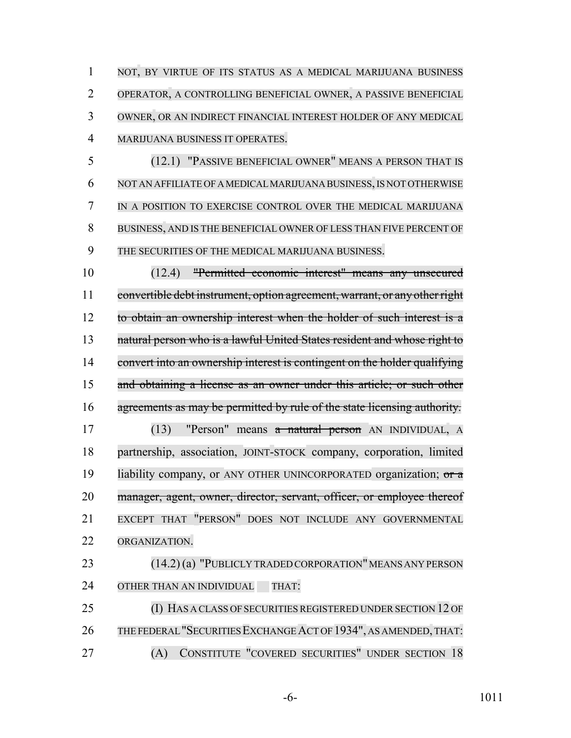1 NOT, BY VIRTUE OF ITS STATUS AS A MEDICAL MARIJUANA BUSINESS OPERATOR, A CONTROLLING BENEFICIAL OWNER, A PASSIVE BENEFICIAL OWNER, OR AN INDIRECT FINANCIAL INTEREST HOLDER OF ANY MEDICAL MARIJUANA BUSINESS IT OPERATES.

 (12.1) "PASSIVE BENEFICIAL OWNER" MEANS A PERSON THAT IS NOT AN AFFILIATE OF A MEDICAL MARIJUANA BUSINESS,IS NOT OTHERWISE IN A POSITION TO EXERCISE CONTROL OVER THE MEDICAL MARIJUANA BUSINESS, AND IS THE BENEFICIAL OWNER OF LESS THAN FIVE PERCENT OF THE SECURITIES OF THE MEDICAL MARIJUANA BUSINESS.

 (12.4) "Permitted economic interest" means any unsecured convertible debt instrument, option agreement, warrant, or any otherright to obtain an ownership interest when the holder of such interest is a 13 natural person who is a lawful United States resident and whose right to convert into an ownership interest is contingent on the holder qualifying and obtaining a license as an owner under this article; or such other agreements as may be permitted by rule of the state licensing authority.

 (13) "Person" means a natural person AN INDIVIDUAL, A partnership, association, JOINT-STOCK company, corporation, limited 19 liability company, or ANY OTHER UNINCORPORATED organization; or a 20 manager, agent, owner, director, servant, officer, or employee thereof EXCEPT THAT "PERSON" DOES NOT INCLUDE ANY GOVERNMENTAL ORGANIZATION.

23 (14.2) (a) "PUBLICLY TRADED CORPORATION" MEANS ANY PERSON 24 OTHER THAN AN INDIVIDUAL THAT:

25 (I) HAS A CLASS OF SECURITIES REGISTERED UNDER SECTION 12 OF THE FEDERAL "SECURITIES EXCHANGE ACT OF 1934", AS AMENDED,THAT: (A) CONSTITUTE "COVERED SECURITIES" UNDER SECTION 18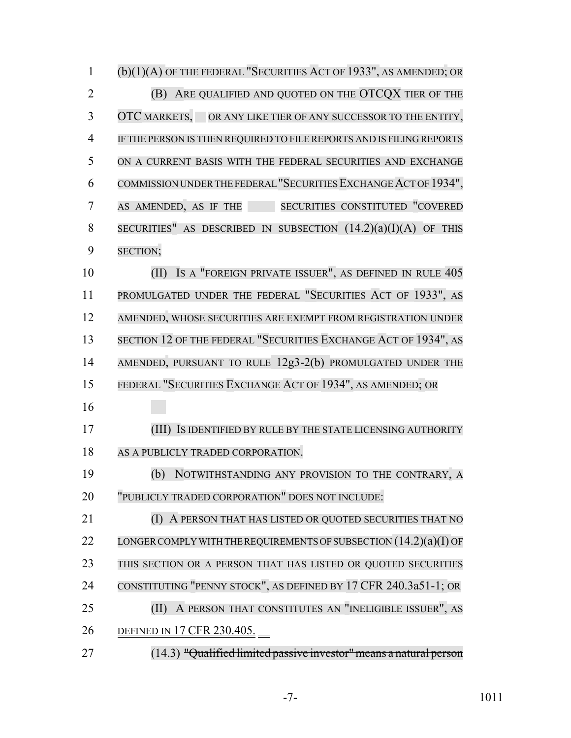(b)(1)(A) OF THE FEDERAL "SECURITIES ACT OF 1933", AS AMENDED; OR (B) ARE QUALIFIED AND QUOTED ON THE OTCQX TIER OF THE OTC MARKETS, OR ANY LIKE TIER OF ANY SUCCESSOR TO THE ENTITY, IF THE PERSON IS THEN REQUIRED TO FILE REPORTS AND IS FILING REPORTS ON A CURRENT BASIS WITH THE FEDERAL SECURITIES AND EXCHANGE COMMISSION UNDER THE FEDERAL "SECURITIES EXCHANGEACT OF 1934", AS AMENDED, AS IF THE SECURITIES CONSTITUTED "COVERED 8 SECURITIES" AS DESCRIBED IN SUBSECTION  $(14.2)(a)(I)(A)$  of this SECTION; (II) IS A "FOREIGN PRIVATE ISSUER", AS DEFINED IN RULE 405 11 PROMULGATED UNDER THE FEDERAL "SECURITIES ACT OF 1933", AS AMENDED, WHOSE SECURITIES ARE EXEMPT FROM REGISTRATION UNDER 13 SECTION 12 OF THE FEDERAL "SECURITIES EXCHANGE ACT OF 1934", AS AMENDED, PURSUANT TO RULE 12g3-2(b) PROMULGATED UNDER THE FEDERAL "SECURITIES EXCHANGE ACT OF 1934", AS AMENDED; OR (III) IS IDENTIFIED BY RULE BY THE STATE LICENSING AUTHORITY 18 AS A PUBLICLY TRADED CORPORATION. (b) NOTWITHSTANDING ANY PROVISION TO THE CONTRARY, A "PUBLICLY TRADED CORPORATION" DOES NOT INCLUDE: (I) A PERSON THAT HAS LISTED OR QUOTED SECURITIES THAT NO 22 LONGER COMPLY WITH THE REQUIREMENTS OF SUBSECTION  $(14.2)(a)(I)$  OF THIS SECTION OR A PERSON THAT HAS LISTED OR QUOTED SECURITIES CONSTITUTING "PENNY STOCK", AS DEFINED BY 17 CFR 240.3a51-1; OR **(II) A PERSON THAT CONSTITUTES AN "INELIGIBLE ISSUER", AS**  DEFINED IN 17 CFR 230.405. (14.3) "Qualified limited passive investor"means a natural person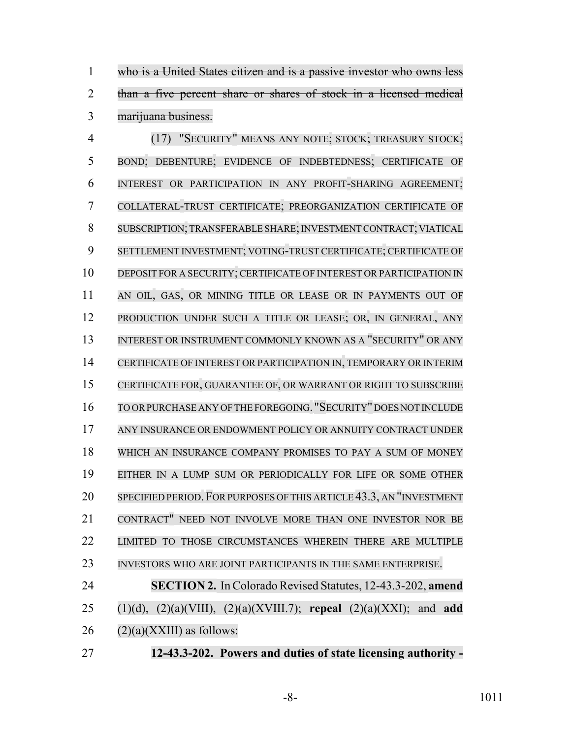who is a United States citizen and is a passive investor who owns less than a five percent share or shares of stock in a licensed medical marijuana business.

 (17) "SECURITY" MEANS ANY NOTE; STOCK; TREASURY STOCK; BOND; DEBENTURE; EVIDENCE OF INDEBTEDNESS; CERTIFICATE OF INTEREST OR PARTICIPATION IN ANY PROFIT-SHARING AGREEMENT; COLLATERAL-TRUST CERTIFICATE; PREORGANIZATION CERTIFICATE OF SUBSCRIPTION;TRANSFERABLE SHARE;INVESTMENT CONTRACT; VIATICAL SETTLEMENT INVESTMENT; VOTING-TRUST CERTIFICATE; CERTIFICATE OF DEPOSIT FOR A SECURITY; CERTIFICATE OF INTEREST OR PARTICIPATION IN 11 AN OIL, GAS, OR MINING TITLE OR LEASE OR IN PAYMENTS OUT OF PRODUCTION UNDER SUCH A TITLE OR LEASE; OR, IN GENERAL, ANY 13 INTEREST OR INSTRUMENT COMMONLY KNOWN AS A "SECURITY" OR ANY CERTIFICATE OF INTEREST OR PARTICIPATION IN, TEMPORARY OR INTERIM CERTIFICATE FOR, GUARANTEE OF, OR WARRANT OR RIGHT TO SUBSCRIBE TO ORPURCHASE ANY OFTHE FOREGOING. "SECURITY" DOES NOT INCLUDE ANY INSURANCE OR ENDOWMENT POLICY OR ANNUITY CONTRACT UNDER WHICH AN INSURANCE COMPANY PROMISES TO PAY A SUM OF MONEY EITHER IN A LUMP SUM OR PERIODICALLY FOR LIFE OR SOME OTHER 20 SPECIFIED PERIOD. FOR PURPOSES OF THIS ARTICLE 43.3, AN "INVESTMENT CONTRACT" NEED NOT INVOLVE MORE THAN ONE INVESTOR NOR BE LIMITED TO THOSE CIRCUMSTANCES WHEREIN THERE ARE MULTIPLE INVESTORS WHO ARE JOINT PARTICIPANTS IN THE SAME ENTERPRISE.

 **SECTION 2.** In Colorado Revised Statutes, 12-43.3-202, **amend** (1)(d), (2)(a)(VIII), (2)(a)(XVIII.7); **repeal** (2)(a)(XXI); and **add** (2)(a)(XXIII) as follows:

**12-43.3-202. Powers and duties of state licensing authority -**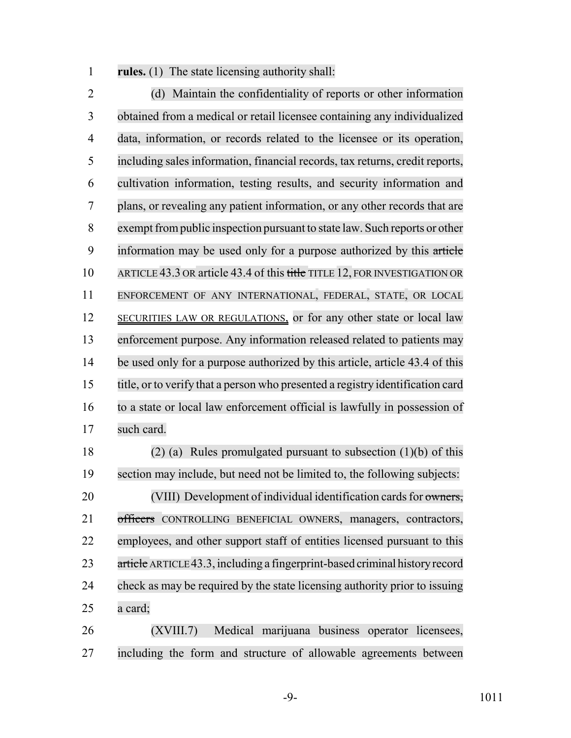**rules.** (1) The state licensing authority shall:

 (d) Maintain the confidentiality of reports or other information obtained from a medical or retail licensee containing any individualized data, information, or records related to the licensee or its operation, including sales information, financial records, tax returns, credit reports, cultivation information, testing results, and security information and plans, or revealing any patient information, or any other records that are 8 exempt from public inspection pursuant to state law. Such reports or other 9 information may be used only for a purpose authorized by this article 10 ARTICLE 43.3 OR article 43.4 of this title TITLE 12, FOR INVESTIGATION OR ENFORCEMENT OF ANY INTERNATIONAL, FEDERAL, STATE, OR LOCAL 12 SECURITIES LAW OR REGULATIONS, or for any other state or local law enforcement purpose. Any information released related to patients may be used only for a purpose authorized by this article, article 43.4 of this title, or to verify that a person who presented a registry identification card to a state or local law enforcement official is lawfully in possession of such card.

 (2) (a) Rules promulgated pursuant to subsection (1)(b) of this section may include, but need not be limited to, the following subjects: (VIII) Development of individual identification cards for owners, 21 officers CONTROLLING BENEFICIAL OWNERS, managers, contractors, employees, and other support staff of entities licensed pursuant to this 23 article ARTICLE43.3, including a fingerprint-based criminal history record check as may be required by the state licensing authority prior to issuing a card;

 (XVIII.7) Medical marijuana business operator licensees, including the form and structure of allowable agreements between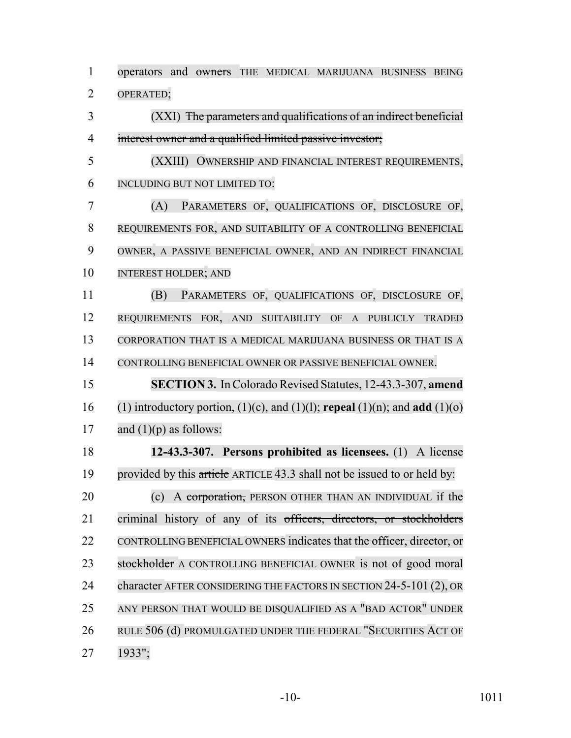operators and owners THE MEDICAL MARIJUANA BUSINESS BEING OPERATED; (XXI) The parameters and qualifications of an indirect beneficial interest owner and a qualified limited passive investor; (XXIII) OWNERSHIP AND FINANCIAL INTEREST REQUIREMENTS, INCLUDING BUT NOT LIMITED TO: (A) PARAMETERS OF, QUALIFICATIONS OF, DISCLOSURE OF, REQUIREMENTS FOR, AND SUITABILITY OF A CONTROLLING BENEFICIAL OWNER, A PASSIVE BENEFICIAL OWNER, AND AN INDIRECT FINANCIAL INTEREST HOLDER; AND (B) PARAMETERS OF, QUALIFICATIONS OF, DISCLOSURE OF, REQUIREMENTS FOR, AND SUITABILITY OF A PUBLICLY TRADED CORPORATION THAT IS A MEDICAL MARIJUANA BUSINESS OR THAT IS A CONTROLLING BENEFICIAL OWNER OR PASSIVE BENEFICIAL OWNER. **SECTION 3.** In Colorado Revised Statutes, 12-43.3-307, **amend** (1) introductory portion, (1)(c), and (1)(l); **repeal** (1)(n); and **add** (1)(o) 17 and  $(1)(p)$  as follows: **12-43.3-307. Persons prohibited as licensees.** (1) A license 19 provided by this article ARTICLE 43.3 shall not be issued to or held by: 20 (c) A corporation, PERSON OTHER THAN AN INDIVIDUAL if the criminal history of any of its officers, directors, or stockholders 22 CONTROLLING BENEFICIAL OWNERS indicates that the officer, director, or 23 stockholder A CONTROLLING BENEFICIAL OWNER is not of good moral 24 character AFTER CONSIDERING THE FACTORS IN SECTION 24-5-101 (2), OR ANY PERSON THAT WOULD BE DISQUALIFIED AS A "BAD ACTOR" UNDER RULE 506 (d) PROMULGATED UNDER THE FEDERAL "SECURITIES ACT OF 1933";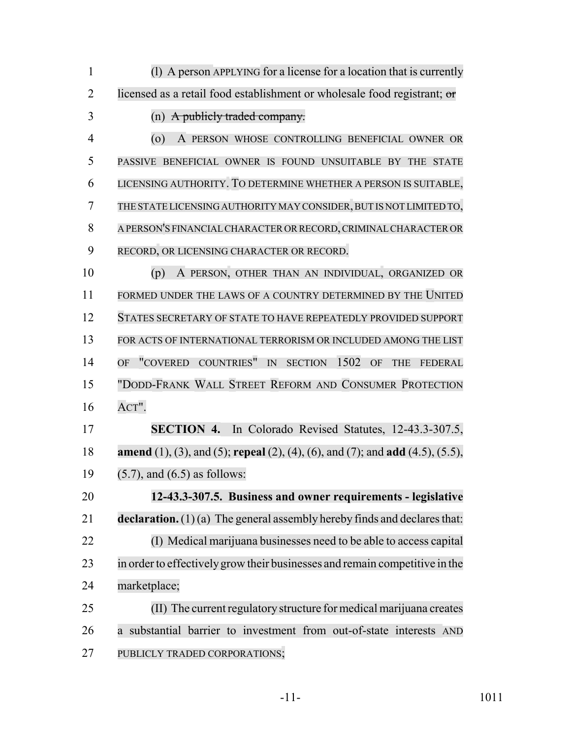| 1              | (1) A person APPLYING for a license for a location that is currently                                   |
|----------------|--------------------------------------------------------------------------------------------------------|
| $\overline{2}$ | licensed as a retail food establishment or wholesale food registrant; or                               |
| 3              | A publicly traded company.<br>(n)                                                                      |
| 4              | $\circ$<br>A PERSON WHOSE CONTROLLING BENEFICIAL OWNER OR                                              |
| 5              | PASSIVE BENEFICIAL OWNER IS FOUND UNSUITABLE BY THE STATE                                              |
| 6              | LICENSING AUTHORITY. TO DETERMINE WHETHER A PERSON IS SUITABLE,                                        |
| 7              | THE STATE LICENSING AUTHORITY MAY CONSIDER, BUT IS NOT LIMITED TO,                                     |
| 8              | A PERSON'S FINANCIAL CHARACTER OR RECORD, CRIMINAL CHARACTER OR                                        |
| 9              | RECORD, OR LICENSING CHARACTER OR RECORD.                                                              |
| 10             | A PERSON, OTHER THAN AN INDIVIDUAL, ORGANIZED OR<br>(p)                                                |
| 11             | FORMED UNDER THE LAWS OF A COUNTRY DETERMINED BY THE UNITED                                            |
| 12             | STATES SECRETARY OF STATE TO HAVE REPEATEDLY PROVIDED SUPPORT                                          |
| 13             | FOR ACTS OF INTERNATIONAL TERRORISM OR INCLUDED AMONG THE LIST                                         |
| 14             | "COVERED COUNTRIES"<br>1502<br>IN<br><b>OF</b><br><b>SECTION</b><br>OF<br><b>THE</b><br><b>FEDERAL</b> |
| 15             | "DODD-FRANK WALL STREET REFORM AND CONSUMER PROTECTION                                                 |
| 16             | $ACT"$ .                                                                                               |
| 17             | SECTION 4. In Colorado Revised Statutes, 12-43.3-307.5,                                                |
| 18             | amend (1), (3), and (5); repeal (2), (4), (6), and (7); and add (4.5), (5.5),                          |
| 19             | $(5.7)$ , and $(6.5)$ as follows:                                                                      |
| 20             | 12-43.3-307.5. Business and owner requirements - legislative                                           |
| 21             | <b>declaration.</b> $(1)(a)$ The general assembly hereby finds and declares that:                      |
| 22             | (I) Medical marijuana businesses need to be able to access capital                                     |
| 23             | in order to effectively grow their businesses and remain competitive in the                            |
| 24             | marketplace;                                                                                           |
| 25             | (II) The current regulatory structure for medical marijuana creates                                    |
| 26             | a substantial barrier to investment from out-of-state interests AND                                    |
| 27             | PUBLICLY TRADED CORPORATIONS;                                                                          |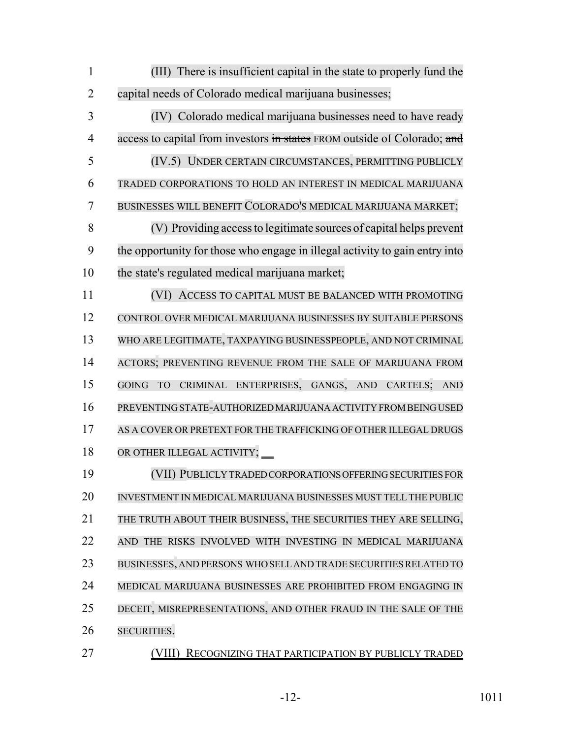(III) There is insufficient capital in the state to properly fund the capital needs of Colorado medical marijuana businesses;

 (IV) Colorado medical marijuana businesses need to have ready 4 access to capital from investors in states FROM outside of Colorado; and (IV.5) UNDER CERTAIN CIRCUMSTANCES, PERMITTING PUBLICLY TRADED CORPORATIONS TO HOLD AN INTEREST IN MEDICAL MARIJUANA BUSINESSES WILL BENEFIT COLORADO'S MEDICAL MARIJUANA MARKET; (V) Providing access to legitimate sources of capital helps prevent the opportunity for those who engage in illegal activity to gain entry into the state's regulated medical marijuana market;

 (VI) ACCESS TO CAPITAL MUST BE BALANCED WITH PROMOTING CONTROL OVER MEDICAL MARIJUANA BUSINESSES BY SUITABLE PERSONS WHO ARE LEGITIMATE, TAXPAYING BUSINESSPEOPLE, AND NOT CRIMINAL ACTORS; PREVENTING REVENUE FROM THE SALE OF MARIJUANA FROM GOING TO CRIMINAL ENTERPRISES, GANGS, AND CARTELS; AND PREVENTING STATE-AUTHORIZED MARIJUANA ACTIVITY FROM BEING USED AS A COVER OR PRETEXT FOR THE TRAFFICKING OF OTHER ILLEGAL DRUGS OR OTHER ILLEGAL ACTIVITY;

 (VII) PUBLICLY TRADED CORPORATIONS OFFERING SECURITIES FOR INVESTMENT IN MEDICAL MARIJUANA BUSINESSES MUST TELL THE PUBLIC THE TRUTH ABOUT THEIR BUSINESS, THE SECURITIES THEY ARE SELLING, AND THE RISKS INVOLVED WITH INVESTING IN MEDICAL MARIJUANA BUSINESSES, AND PERSONS WHO SELL AND TRADE SECURITIES RELATED TO MEDICAL MARIJUANA BUSINESSES ARE PROHIBITED FROM ENGAGING IN DECEIT, MISREPRESENTATIONS, AND OTHER FRAUD IN THE SALE OF THE SECURITIES.

(VIII) RECOGNIZING THAT PARTICIPATION BY PUBLICLY TRADED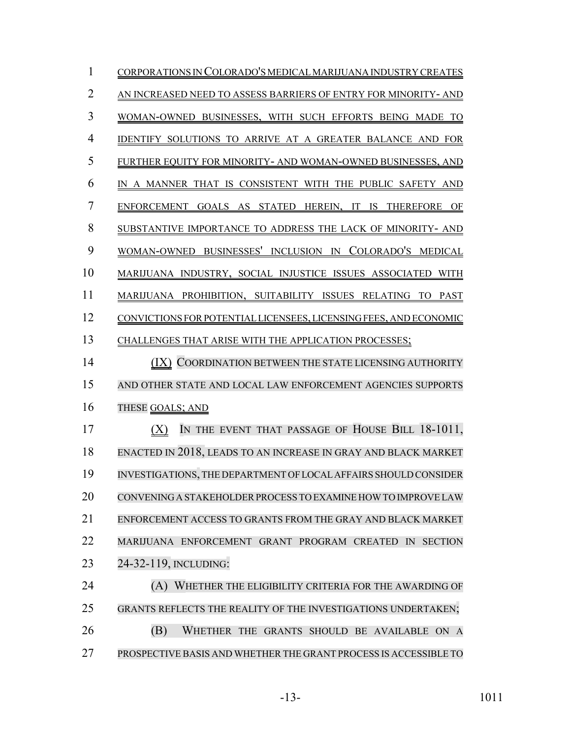| 1              | CORPORATIONS IN COLORADO'S MEDICAL MARIJUANA INDUSTRY CREATES                 |
|----------------|-------------------------------------------------------------------------------|
| $\overline{2}$ | AN INCREASED NEED TO ASSESS BARRIERS OF ENTRY FOR MINORITY-AND                |
| 3              | WOMAN-OWNED BUSINESSES, WITH SUCH EFFORTS BEING MADE TO                       |
| $\overline{4}$ | IDENTIFY SOLUTIONS TO ARRIVE AT A GREATER BALANCE AND FOR                     |
| 5              | FURTHER EQUITY FOR MINORITY- AND WOMAN-OWNED BUSINESSES, AND                  |
| 6              | IN A MANNER THAT IS CONSISTENT WITH THE PUBLIC SAFETY AND                     |
| 7              | ENFORCEMENT GOALS AS STATED HEREIN, IT IS THEREFORE OF                        |
| 8              | SUBSTANTIVE IMPORTANCE TO ADDRESS THE LACK OF MINORITY- AND                   |
| 9              | WOMAN-OWNED BUSINESSES' INCLUSION IN COLORADO'S MEDICAL                       |
| 10             | MARIJUANA INDUSTRY, SOCIAL INJUSTICE ISSUES ASSOCIATED WITH                   |
| 11             | MARIJUANA PROHIBITION, SUITABILITY ISSUES RELATING TO PAST                    |
| 12             | CONVICTIONS FOR POTENTIAL LICENSEES, LICENSING FEES, AND ECONOMIC             |
| 13             | CHALLENGES THAT ARISE WITH THE APPLICATION PROCESSES;                         |
| 14             | (IX) COORDINATION BETWEEN THE STATE LICENSING AUTHORITY                       |
| 15             | AND OTHER STATE AND LOCAL LAW ENFORCEMENT AGENCIES SUPPORTS                   |
| 16             | THESE GOALS; AND                                                              |
| 17             | IN THE EVENT THAT PASSAGE OF HOUSE BILL 18-1011,<br>(X)                       |
| 18             | ENACTED IN 2018, LEADS TO AN INCREASE IN GRAY AND BLACK MARKET                |
| 19             | INVESTIGATIONS, THE DEPARTMENT OF LOCAL AFFAIRS SHOULD CONSIDER               |
| 20             | CONVENING A STAKEHOLDER PROCESS TO EXAMINE HOW TO IMPROVE LAW                 |
| 21             | ENFORCEMENT ACCESS TO GRANTS FROM THE GRAY AND BLACK MARKET                   |
| 22             | MARIJUANA ENFORCEMENT GRANT PROGRAM CREATED<br>$\mathbb{N}$<br><b>SECTION</b> |
| 23             | 24-32-119, INCLUDING:                                                         |
| 24             | WHETHER THE ELIGIBILITY CRITERIA FOR THE AWARDING OF<br>(A)                   |
| 25             | GRANTS REFLECTS THE REALITY OF THE INVESTIGATIONS UNDERTAKEN;                 |
| 26             | (B)<br>WHETHER THE GRANTS SHOULD BE AVAILABLE ON A                            |
| 27             | PROSPECTIVE BASIS AND WHETHER THE GRANT PROCESS IS ACCESSIBLE TO              |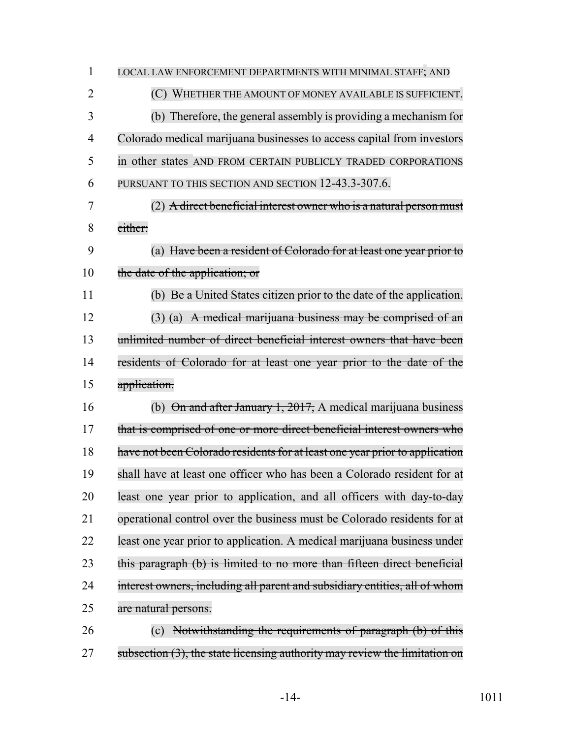| $\mathbf{1}$   | LOCAL LAW ENFORCEMENT DEPARTMENTS WITH MINIMAL STAFF; AND                   |
|----------------|-----------------------------------------------------------------------------|
| $\overline{2}$ | (C) WHETHER THE AMOUNT OF MONEY AVAILABLE IS SUFFICIENT.                    |
| 3              | (b) Therefore, the general assembly is providing a mechanism for            |
| $\overline{4}$ | Colorado medical marijuana businesses to access capital from investors      |
| 5              | in other states AND FROM CERTAIN PUBLICLY TRADED CORPORATIONS               |
| 6              | PURSUANT TO THIS SECTION AND SECTION 12-43.3-307.6.                         |
| 7              | $(2)$ A direct beneficial interest owner who is a natural person must       |
| 8              | either:                                                                     |
| 9              | (a) Have been a resident of Colorado for at least one year prior to         |
| 10             | the date of the application; or                                             |
| 11             | (b) Be a United States citizen prior to the date of the application.        |
| 12             | $(3)$ (a) A medical marijuana business may be comprised of an               |
| 13             | unlimited number of direct beneficial interest owners that have been        |
| 14             | residents of Colorado for at least one year prior to the date of the        |
| 15             | application.                                                                |
| 16             | (b) $\Theta$ n and after January 1, 2017, A medical marijuana business      |
| 17             | that is comprised of one or more direct beneficial interest owners who      |
| 18             | have not been Colorado residents for at least one year prior to application |
| 19             | shall have at least one officer who has been a Colorado resident for at     |
| 20             | least one year prior to application, and all officers with day-to-day       |
| 21             | operational control over the business must be Colorado residents for at     |
| 22             | least one year prior to application. A medical marijuana business under     |
| 23             | this paragraph (b) is limited to no more than fifteen direct beneficial     |
| 24             | interest owners, including all parent and subsidiary entities, all of whom  |
| 25             | are natural persons.                                                        |
| 26             | Notwithstanding the requirements of paragraph (b) of this<br>(c)            |
|                |                                                                             |

27 subsection (3), the state licensing authority may review the limitation on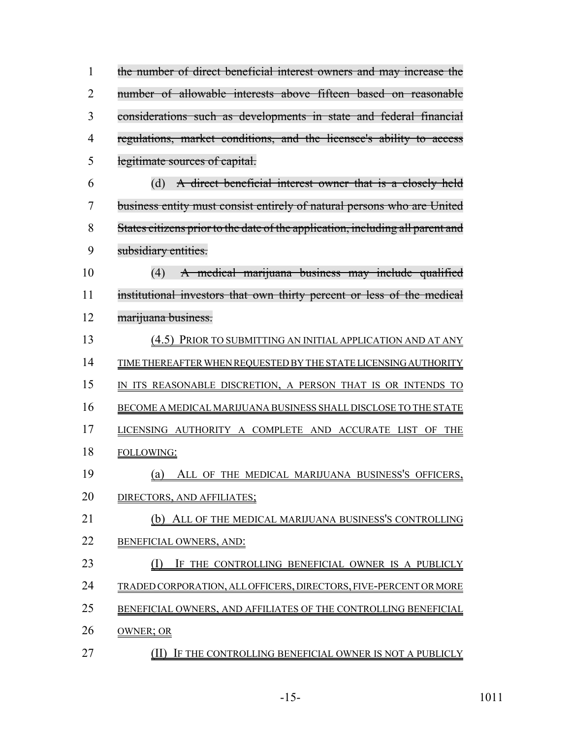| 1  | the number of direct beneficial interest owners and may increase the           |
|----|--------------------------------------------------------------------------------|
| 2  | number of allowable interests above fifteen based on reasonable                |
| 3  | considerations such as developments in state and federal financial             |
| 4  | regulations, market conditions, and the licensee's ability to access           |
| 5  | legitimate sources of capital.                                                 |
| 6  | A direct beneficial interest owner that is a closely held<br>(d)               |
| 7  | business entity must consist entirely of natural persons who are United        |
| 8  | States citizens prior to the date of the application, including all parent and |
| 9  | subsidiary entities.                                                           |
| 10 | A medical marijuana business may include qualified<br>(4)                      |
| 11 | institutional investors that own thirty percent or less of the medical         |
| 12 | marijuana business.                                                            |
| 13 | (4.5) PRIOR TO SUBMITTING AN INITIAL APPLICATION AND AT ANY                    |
| 14 | TIME THEREAFTER WHEN REQUESTED BY THE STATE LICENSING AUTHORITY                |
| 15 | IN ITS REASONABLE DISCRETION, A PERSON THAT IS OR INTENDS TO                   |
| 16 | BECOME A MEDICAL MARIJUANA BUSINESS SHALL DISCLOSE TO THE STATE                |
| 17 | LICENSING AUTHORITY A COMPLETE AND ACCURATE LIST OF THE                        |
| 18 | FOLLOWING:                                                                     |
| 19 | ALL OF THE MEDICAL MARIJUANA BUSINESS'S OFFICERS,<br>$\left( a\right)$         |
| 20 | DIRECTORS, AND AFFILIATES;                                                     |
| 21 | ALL OF THE MEDICAL MARIJUANA BUSINESS'S CONTROLLING<br>(b)                     |
| 22 | BENEFICIAL OWNERS, AND:                                                        |
| 23 | IF THE CONTROLLING BENEFICIAL OWNER IS A PUBLICLY                              |
| 24 | TRADED CORPORATION, ALL OFFICERS, DIRECTORS, FIVE-PERCENT OR MORE              |
| 25 | BENEFICIAL OWNERS, AND AFFILIATES OF THE CONTROLLING BENEFICIAL                |
| 26 | OWNER; OR                                                                      |
|    |                                                                                |

**(II) IF THE CONTROLLING BENEFICIAL OWNER IS NOT A PUBLICLY**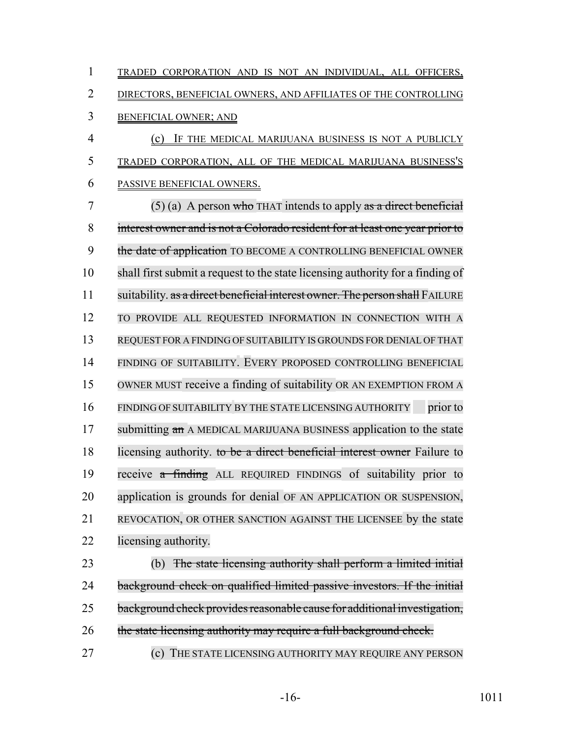| 1              | TRADED CORPORATION AND IS NOT AN INDIVIDUAL, ALL OFFICERS,                     |
|----------------|--------------------------------------------------------------------------------|
| 2              | DIRECTORS, BENEFICIAL OWNERS, AND AFFILIATES OF THE CONTROLLING                |
| 3              | <b>BENEFICIAL OWNER; AND</b>                                                   |
| $\overline{4}$ | IF THE MEDICAL MARIJUANA BUSINESS IS NOT A PUBLICLY<br>(c)                     |
| 5              | TRADED CORPORATION, ALL OF THE MEDICAL MARIJUANA BUSINESS'S                    |
| 6              | PASSIVE BENEFICIAL OWNERS.                                                     |
| 7              | $(5)$ (a) A person who THAT intends to apply as a direct beneficial            |
| 8              | interest owner and is not a Colorado resident for at least one year prior to   |
| 9              | the date of application TO BECOME A CONTROLLING BENEFICIAL OWNER               |
| 10             | shall first submit a request to the state licensing authority for a finding of |
| 11             | suitability. as a direct beneficial interest owner. The person shall FAILURE   |
| 12             | TO PROVIDE ALL REQUESTED INFORMATION IN CONNECTION WITH A                      |
| 13             | REQUEST FOR A FINDING OF SUITABILITY IS GROUNDS FOR DENIAL OF THAT             |
| 14             | FINDING OF SUITABILITY. EVERY PROPOSED CONTROLLING BENEFICIAL                  |
| 15             | OWNER MUST receive a finding of suitability OR AN EXEMPTION FROM A             |
| 16             | FINDING OF SUITABILITY BY THE STATE LICENSING AUTHORITY<br>prior to            |
| 17             | submitting an A MEDICAL MARIJUANA BUSINESS application to the state            |
| 18             | licensing authority. to be a direct beneficial interest owner Failure to       |
| 19             | receive a finding ALL REQUIRED FINDINGS of suitability prior to                |
| 20             | application is grounds for denial OF AN APPLICATION OR SUSPENSION,             |
| 21             | REVOCATION, OR OTHER SANCTION AGAINST THE LICENSEE by the state                |
| 22             | licensing authority.                                                           |
| 23             | The state licensing authority shall perform a limited initial<br>(b)           |

background check on qualified limited passive investors. If the initial

- 25 background check provides reasonable cause for additional investigation,
- 26 the state licensing authority may require a full background check.
- **(c)** THE STATE LICENSING AUTHORITY MAY REQUIRE ANY PERSON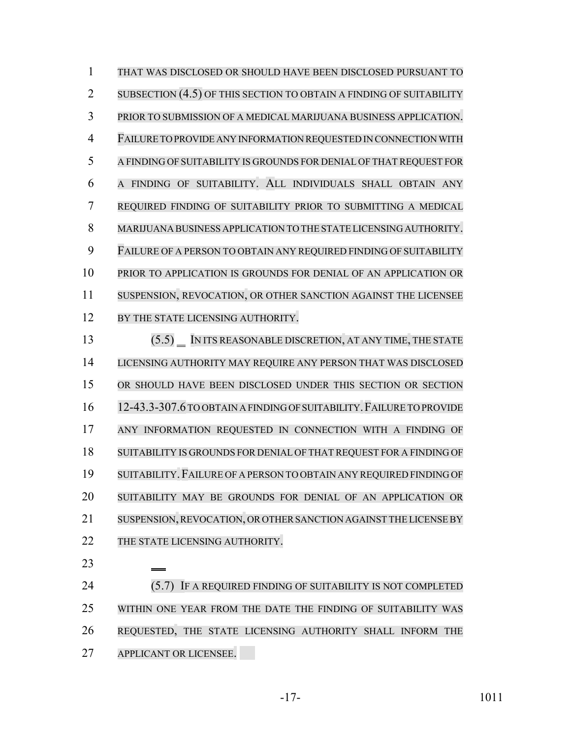THAT WAS DISCLOSED OR SHOULD HAVE BEEN DISCLOSED PURSUANT TO 2 SUBSECTION (4.5) OF THIS SECTION TO OBTAIN A FINDING OF SUITABILITY PRIOR TO SUBMISSION OF A MEDICAL MARIJUANA BUSINESS APPLICATION. FAILURE TO PROVIDE ANY INFORMATION REQUESTED IN CONNECTION WITH A FINDING OF SUITABILITY IS GROUNDS FOR DENIAL OF THAT REQUEST FOR A FINDING OF SUITABILITY. ALL INDIVIDUALS SHALL OBTAIN ANY REQUIRED FINDING OF SUITABILITY PRIOR TO SUBMITTING A MEDICAL MARIJUANA BUSINESS APPLICATION TO THE STATE LICENSING AUTHORITY. FAILURE OF A PERSON TO OBTAIN ANY REQUIRED FINDING OF SUITABILITY PRIOR TO APPLICATION IS GROUNDS FOR DENIAL OF AN APPLICATION OR SUSPENSION, REVOCATION, OR OTHER SANCTION AGAINST THE LICENSEE 12 BY THE STATE LICENSING AUTHORITY. (5.5) IN ITS REASONABLE DISCRETION, AT ANY TIME, THE STATE LICENSING AUTHORITY MAY REQUIRE ANY PERSON THAT WAS DISCLOSED OR SHOULD HAVE BEEN DISCLOSED UNDER THIS SECTION OR SECTION 12-43.3-307.6TO OBTAIN A FINDING OF SUITABILITY.FAILURE TO PROVIDE ANY INFORMATION REQUESTED IN CONNECTION WITH A FINDING OF SUITABILITY IS GROUNDS FOR DENIAL OF THAT REQUEST FOR A FINDING OF SUITABILITY.FAILURE OF A PERSON TO OBTAIN ANY REQUIRED FINDING OF SUITABILITY MAY BE GROUNDS FOR DENIAL OF AN APPLICATION OR SUSPENSION,REVOCATION, OR OTHER SANCTION AGAINST THE LICENSE BY 22 THE STATE LICENSING AUTHORITY. **(5.7)** IF A REQUIRED FINDING OF SUITABILITY IS NOT COMPLETED WITHIN ONE YEAR FROM THE DATE THE FINDING OF SUITABILITY WAS REQUESTED, THE STATE LICENSING AUTHORITY SHALL INFORM THE APPLICANT OR LICENSEE.

-17- 1011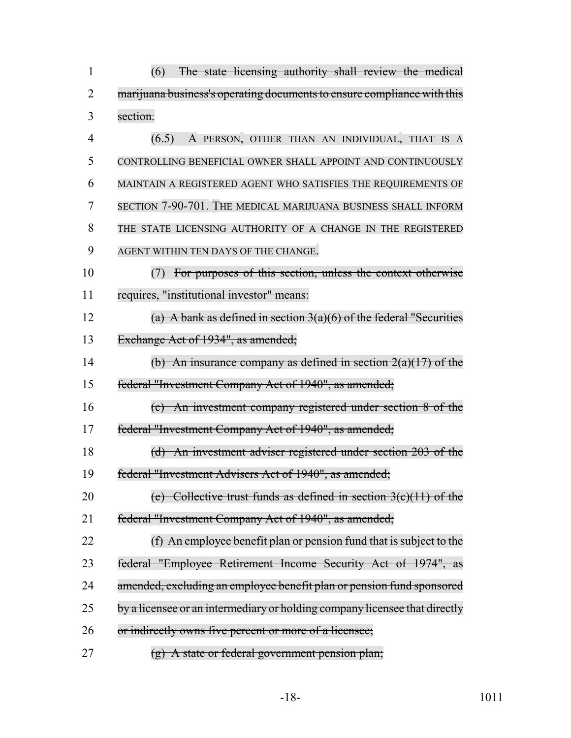| $\mathbf{1}$   | (6)<br>The state licensing authority shall review the medical              |
|----------------|----------------------------------------------------------------------------|
| $\overline{2}$ | marijuana business's operating documents to ensure compliance with this    |
| 3              | section.                                                                   |
| 4              | A PERSON, OTHER THAN AN INDIVIDUAL, THAT IS A<br>(6.5)                     |
| 5              | CONTROLLING BENEFICIAL OWNER SHALL APPOINT AND CONTINUOUSLY                |
| 6              | MAINTAIN A REGISTERED AGENT WHO SATISFIES THE REQUIREMENTS OF              |
| 7              | SECTION 7-90-701. THE MEDICAL MARIJUANA BUSINESS SHALL INFORM              |
| 8              | THE STATE LICENSING AUTHORITY OF A CHANGE IN THE REGISTERED                |
| 9              | AGENT WITHIN TEN DAYS OF THE CHANGE.                                       |
| 10             | For purposes of this section, unless the context otherwise<br>(7)          |
| 11             | requires, "institutional investor" means:                                  |
| 12             | (a) A bank as defined in section $3(a)(6)$ of the federal "Securities      |
| 13             | Exchange Act of 1934", as amended;                                         |
| 14             | (b) An insurance company as defined in section $2(a)(17)$ of the           |
| 15             | federal "Investment Company Act of 1940", as amended;                      |
| 16             | (c) An investment company registered under section 8 of the                |
| 17             | federal "Investment Company Act of 1940", as amended;                      |
| 18             | (d) An investment adviser registered under section 203 of the              |
| 19             | federal "Investment Advisers Act of 1940", as amended;                     |
| 20             | (e) Collective trust funds as defined in section $3(c)(11)$ of the         |
| 21             | federal "Investment Company Act of 1940", as amended;                      |
| 22             | (f) An employee benefit plan or pension fund that is subject to the        |
| 23             | federal "Employee Retirement Income Security Act of 1974", as              |
| 24             | amended, excluding an employee benefit plan or pension fund sponsored      |
| 25             | by a licensee or an intermediary or holding company licensee that directly |
| 26             | or indirectly owns five percent or more of a licensee;                     |
| 27             | $(g)$ A state or federal government pension plan;                          |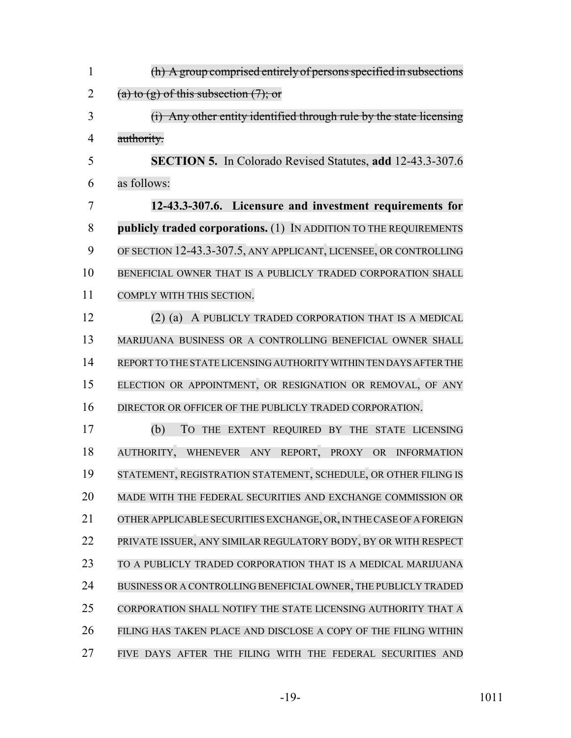| $\mathbf{1}$   | (h) A group comprised entirely of persons specified in subsections   |
|----------------|----------------------------------------------------------------------|
| $\overline{2}$ | (a) to $(g)$ of this subsection $(7)$ ; or                           |
| 3              | (i) Any other entity identified through rule by the state licensing  |
| 4              | authority.                                                           |
| 5              | <b>SECTION 5.</b> In Colorado Revised Statutes, add 12-43.3-307.6    |
| 6              | as follows:                                                          |
| 7              | 12-43.3-307.6. Licensure and investment requirements for             |
| 8              | publicly traded corporations. (1) IN ADDITION TO THE REQUIREMENTS    |
| 9              | OF SECTION 12-43.3-307.5, ANY APPLICANT, LICENSEE, OR CONTROLLING    |
| 10             | BENEFICIAL OWNER THAT IS A PUBLICLY TRADED CORPORATION SHALL         |
| 11             | COMPLY WITH THIS SECTION.                                            |
| 12             | (2) (a) A PUBLICLY TRADED CORPORATION THAT IS A MEDICAL              |
| 13             | MARIJUANA BUSINESS OR A CONTROLLING BENEFICIAL OWNER SHALL           |
| 14             | REPORT TO THE STATE LICENSING AUTHORITY WITHIN TEN DAYS AFTER THE    |
| 15             | ELECTION OR APPOINTMENT, OR RESIGNATION OR REMOVAL, OF ANY           |
| 16             | DIRECTOR OR OFFICER OF THE PUBLICLY TRADED CORPORATION.              |
| 17             | (b)<br>TO THE EXTENT REQUIRED BY THE STATE LICENSING                 |
| 18             | AUTHORITY,<br>WHENEVER ANY REPORT,<br><b>PROXY</b><br>OR INFORMATION |
| 19             | STATEMENT, REGISTRATION STATEMENT, SCHEDULE, OR OTHER FILING IS      |
| 20             | MADE WITH THE FEDERAL SECURITIES AND EXCHANGE COMMISSION OR          |
| 21             | OTHER APPLICABLE SECURITIES EXCHANGE, OR, IN THE CASE OF A FOREIGN   |
| 22             | PRIVATE ISSUER, ANY SIMILAR REGULATORY BODY, BY OR WITH RESPECT      |
| 23             | TO A PUBLICLY TRADED CORPORATION THAT IS A MEDICAL MARIJUANA         |
| 24             | BUSINESS OR A CONTROLLING BENEFICIAL OWNER, THE PUBLICLY TRADED      |
| 25             | CORPORATION SHALL NOTIFY THE STATE LICENSING AUTHORITY THAT A        |
| 26             | FILING HAS TAKEN PLACE AND DISCLOSE A COPY OF THE FILING WITHIN      |
| 27             | FIVE DAYS AFTER THE FILING WITH THE FEDERAL SECURITIES AND           |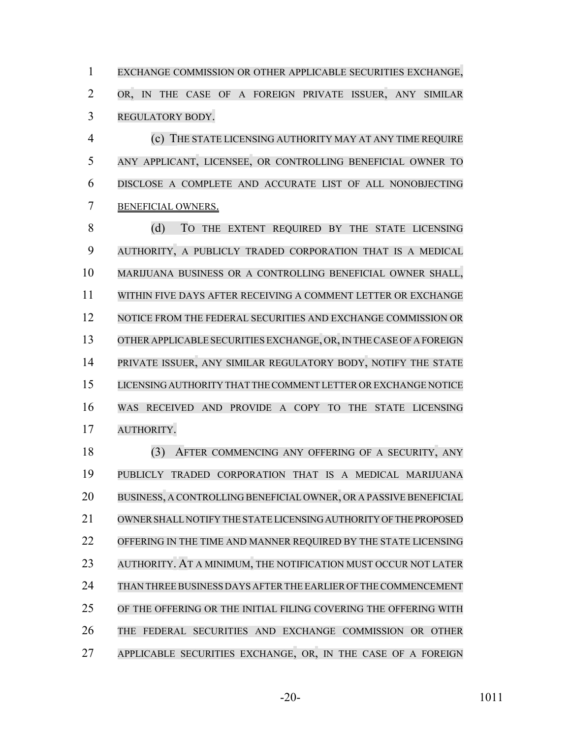EXCHANGE COMMISSION OR OTHER APPLICABLE SECURITIES EXCHANGE, OR, IN THE CASE OF A FOREIGN PRIVATE ISSUER, ANY SIMILAR REGULATORY BODY.

 (c) THE STATE LICENSING AUTHORITY MAY AT ANY TIME REQUIRE ANY APPLICANT, LICENSEE, OR CONTROLLING BENEFICIAL OWNER TO DISCLOSE A COMPLETE AND ACCURATE LIST OF ALL NONOBJECTING BENEFICIAL OWNERS.

8 (d) To the extent required by the state licensing AUTHORITY, A PUBLICLY TRADED CORPORATION THAT IS A MEDICAL MARIJUANA BUSINESS OR A CONTROLLING BENEFICIAL OWNER SHALL, WITHIN FIVE DAYS AFTER RECEIVING A COMMENT LETTER OR EXCHANGE NOTICE FROM THE FEDERAL SECURITIES AND EXCHANGE COMMISSION OR 13 OTHER APPLICABLE SECURITIES EXCHANGE, OR, IN THE CASE OF A FOREIGN PRIVATE ISSUER, ANY SIMILAR REGULATORY BODY, NOTIFY THE STATE LICENSING AUTHORITY THAT THE COMMENT LETTER OR EXCHANGE NOTICE WAS RECEIVED AND PROVIDE A COPY TO THE STATE LICENSING AUTHORITY.

 (3) AFTER COMMENCING ANY OFFERING OF A SECURITY, ANY PUBLICLY TRADED CORPORATION THAT IS A MEDICAL MARIJUANA BUSINESS, A CONTROLLING BENEFICIAL OWNER, OR A PASSIVE BENEFICIAL OWNER SHALL NOTIFY THE STATE LICENSING AUTHORITY OF THE PROPOSED OFFERING IN THE TIME AND MANNER REQUIRED BY THE STATE LICENSING AUTHORITY. AT A MINIMUM, THE NOTIFICATION MUST OCCUR NOT LATER THAN THREE BUSINESS DAYS AFTER THE EARLIER OF THE COMMENCEMENT OF THE OFFERING OR THE INITIAL FILING COVERING THE OFFERING WITH THE FEDERAL SECURITIES AND EXCHANGE COMMISSION OR OTHER APPLICABLE SECURITIES EXCHANGE, OR, IN THE CASE OF A FOREIGN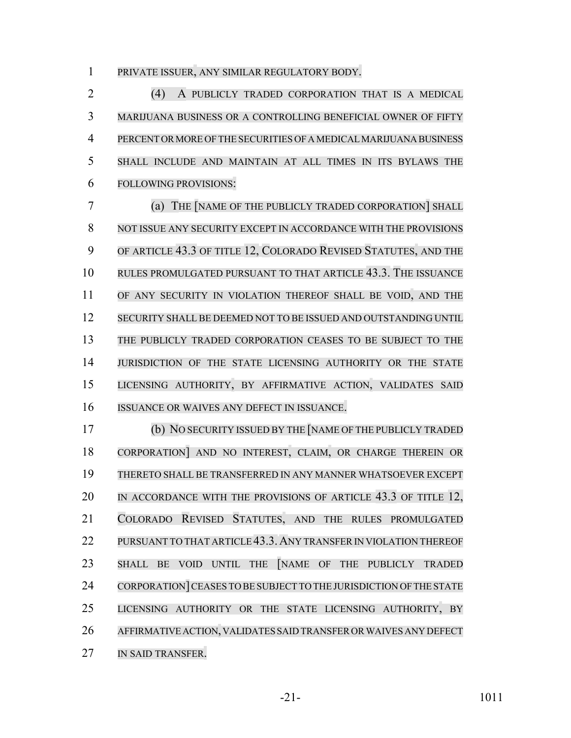PRIVATE ISSUER, ANY SIMILAR REGULATORY BODY.

 (4) A PUBLICLY TRADED CORPORATION THAT IS A MEDICAL MARIJUANA BUSINESS OR A CONTROLLING BENEFICIAL OWNER OF FIFTY PERCENT OR MORE OF THE SECURITIES OF A MEDICAL MARIJUANA BUSINESS SHALL INCLUDE AND MAINTAIN AT ALL TIMES IN ITS BYLAWS THE FOLLOWING PROVISIONS:

 (a) THE [NAME OF THE PUBLICLY TRADED CORPORATION] SHALL NOT ISSUE ANY SECURITY EXCEPT IN ACCORDANCE WITH THE PROVISIONS OF ARTICLE 43.3 OF TITLE 12, COLORADO REVISED STATUTES, AND THE RULES PROMULGATED PURSUANT TO THAT ARTICLE 43.3. THE ISSUANCE OF ANY SECURITY IN VIOLATION THEREOF SHALL BE VOID, AND THE SECURITY SHALL BE DEEMED NOT TO BE ISSUED AND OUTSTANDING UNTIL THE PUBLICLY TRADED CORPORATION CEASES TO BE SUBJECT TO THE JURISDICTION OF THE STATE LICENSING AUTHORITY OR THE STATE LICENSING AUTHORITY, BY AFFIRMATIVE ACTION, VALIDATES SAID ISSUANCE OR WAIVES ANY DEFECT IN ISSUANCE.

 (b) NO SECURITY ISSUED BY THE [NAME OF THE PUBLICLY TRADED CORPORATION] AND NO INTEREST, CLAIM, OR CHARGE THEREIN OR THERETO SHALL BE TRANSFERRED IN ANY MANNER WHATSOEVER EXCEPT IN ACCORDANCE WITH THE PROVISIONS OF ARTICLE 43.3 OF TITLE 12, COLORADO REVISED STATUTES, AND THE RULES PROMULGATED 22 PURSUANT TO THAT ARTICLE 43.3. ANY TRANSFER IN VIOLATION THEREOF SHALL BE VOID UNTIL THE [NAME OF THE PUBLICLY TRADED 24 CORPORATION CEASES TO BE SUBJECT TO THE JURISDICTION OF THE STATE LICENSING AUTHORITY OR THE STATE LICENSING AUTHORITY, BY AFFIRMATIVE ACTION, VALIDATES SAID TRANSFER OR WAIVES ANY DEFECT IN SAID TRANSFER.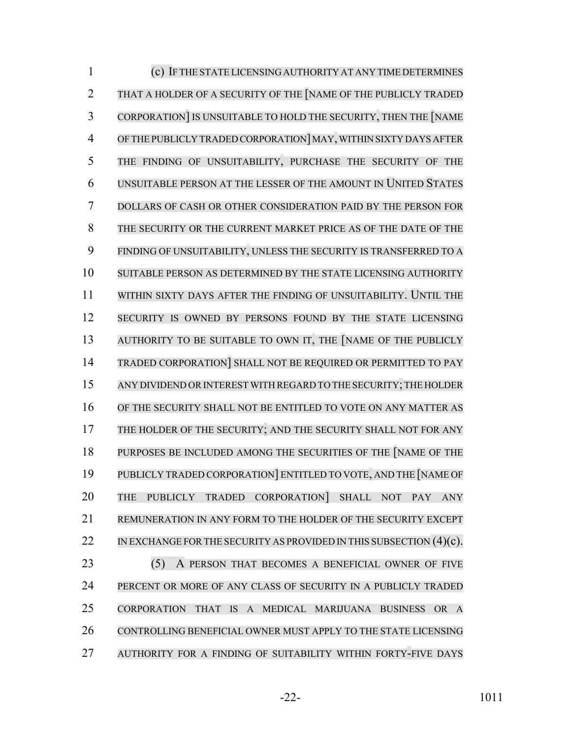| $\mathbf{1}$   | (c) IF THE STATE LICENSING AUTHORITY AT ANY TIME DETERMINES                                                                                          |
|----------------|------------------------------------------------------------------------------------------------------------------------------------------------------|
| $\overline{2}$ | THAT A HOLDER OF A SECURITY OF THE NAME OF THE PUBLICLY TRADED                                                                                       |
| 3              | CORPORATION] IS UNSUITABLE TO HOLD THE SECURITY, THEN THE [NAME                                                                                      |
| 4              | OF THE PUBLICLY TRADED CORPORATION MAY, WITHIN SIXTY DAYS AFTER                                                                                      |
| 5              | THE FINDING OF UNSUITABILITY, PURCHASE THE SECURITY OF THE                                                                                           |
| 6              | UNSUITABLE PERSON AT THE LESSER OF THE AMOUNT IN UNITED STATES                                                                                       |
| 7              | DOLLARS OF CASH OR OTHER CONSIDERATION PAID BY THE PERSON FOR                                                                                        |
| 8              | THE SECURITY OR THE CURRENT MARKET PRICE AS OF THE DATE OF THE                                                                                       |
| 9              | FINDING OF UNSUITABILITY, UNLESS THE SECURITY IS TRANSFERRED TO A                                                                                    |
| 10             | SUITABLE PERSON AS DETERMINED BY THE STATE LICENSING AUTHORITY                                                                                       |
| 11             | WITHIN SIXTY DAYS AFTER THE FINDING OF UNSUITABILITY. UNTIL THE                                                                                      |
| 12             | SECURITY IS OWNED BY PERSONS FOUND BY THE STATE LICENSING                                                                                            |
| 13             | AUTHORITY TO BE SUITABLE TO OWN IT, THE NAME OF THE PUBLICLY                                                                                         |
| 14             | TRADED CORPORATION SHALL NOT BE REQUIRED OR PERMITTED TO PAY                                                                                         |
| 15             | ANY DIVIDEND OR INTEREST WITH REGARD TO THE SECURITY; THE HOLDER                                                                                     |
| 16             | OF THE SECURITY SHALL NOT BE ENTITLED TO VOTE ON ANY MATTER AS                                                                                       |
| 17             | THE HOLDER OF THE SECURITY; AND THE SECURITY SHALL NOT FOR ANY                                                                                       |
| 18             | PURPOSES BE INCLUDED AMONG THE SECURITIES OF THE NAME OF THE                                                                                         |
| 19             | PUBLICLY TRADED CORPORATION ENTITLED TO VOTE, AND THE NAME OF                                                                                        |
| 20             | CORPORATION]<br>SHALL NOT<br><b>THE</b><br><b>PUBLICLY</b><br><b>TRADED</b><br><b>PAY</b><br><b>ANY</b>                                              |
| 21             | REMUNERATION IN ANY FORM TO THE HOLDER OF THE SECURITY EXCEPT                                                                                        |
| 22             | IN EXCHANGE FOR THE SECURITY AS PROVIDED IN THIS SUBSECTION $(4)(c)$ .                                                                               |
| 23             | (5)<br>A PERSON THAT BECOMES A BENEFICIAL OWNER OF FIVE                                                                                              |
| 24             | PERCENT OR MORE OF ANY CLASS OF SECURITY IN A PUBLICLY TRADED                                                                                        |
| 25             | <b>IS</b><br><b>CORPORATION</b><br><b>THAT</b><br>$\mathbf{A}$<br><b>MEDICAL</b><br><b>MARIJUANA</b><br><b>BUSINESS</b><br><b>OR</b><br>$\mathbf{A}$ |
| 26             | CONTROLLING BENEFICIAL OWNER MUST APPLY TO THE STATE LICENSING                                                                                       |
| 27             | AUTHORITY FOR A FINDING OF SUITABILITY WITHIN FORTY-FIVE DAYS                                                                                        |

-22- 1011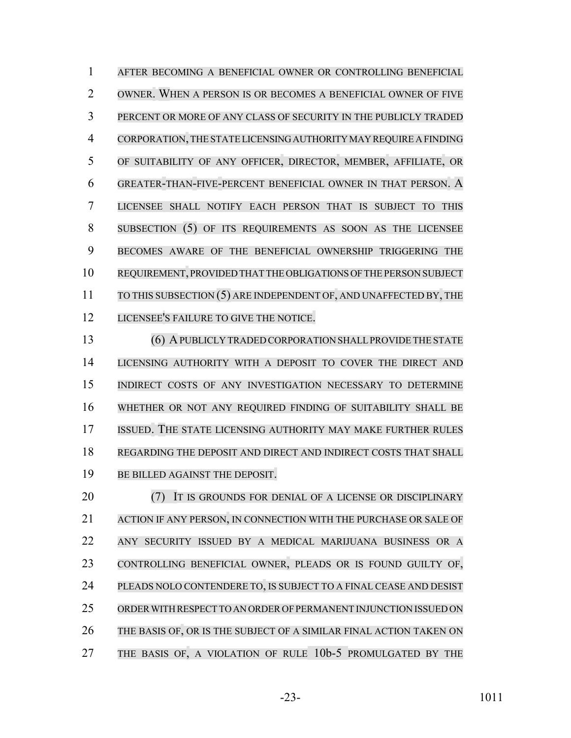AFTER BECOMING A BENEFICIAL OWNER OR CONTROLLING BENEFICIAL OWNER. WHEN A PERSON IS OR BECOMES A BENEFICIAL OWNER OF FIVE PERCENT OR MORE OF ANY CLASS OF SECURITY IN THE PUBLICLY TRADED CORPORATION,THE STATE LICENSING AUTHORITY MAY REQUIRE A FINDING OF SUITABILITY OF ANY OFFICER, DIRECTOR, MEMBER, AFFILIATE, OR GREATER-THAN-FIVE-PERCENT BENEFICIAL OWNER IN THAT PERSON. A LICENSEE SHALL NOTIFY EACH PERSON THAT IS SUBJECT TO THIS SUBSECTION (5) OF ITS REQUIREMENTS AS SOON AS THE LICENSEE BECOMES AWARE OF THE BENEFICIAL OWNERSHIP TRIGGERING THE REQUIREMENT, PROVIDED THAT THE OBLIGATIONS OF THE PERSON SUBJECT 11 TO THIS SUBSECTION (5) ARE INDEPENDENT OF, AND UNAFFECTED BY, THE LICENSEE'S FAILURE TO GIVE THE NOTICE.

 (6) APUBLICLY TRADED CORPORATION SHALLPROVIDE THE STATE LICENSING AUTHORITY WITH A DEPOSIT TO COVER THE DIRECT AND INDIRECT COSTS OF ANY INVESTIGATION NECESSARY TO DETERMINE WHETHER OR NOT ANY REQUIRED FINDING OF SUITABILITY SHALL BE ISSUED. THE STATE LICENSING AUTHORITY MAY MAKE FURTHER RULES REGARDING THE DEPOSIT AND DIRECT AND INDIRECT COSTS THAT SHALL BE BILLED AGAINST THE DEPOSIT.

**(7)** IT IS GROUNDS FOR DENIAL OF A LICENSE OR DISCIPLINARY ACTION IF ANY PERSON, IN CONNECTION WITH THE PURCHASE OR SALE OF ANY SECURITY ISSUED BY A MEDICAL MARIJUANA BUSINESS OR A CONTROLLING BENEFICIAL OWNER, PLEADS OR IS FOUND GUILTY OF, PLEADS NOLO CONTENDERE TO, IS SUBJECT TO A FINAL CEASE AND DESIST ORDER WITH RESPECT TO AN ORDER OF PERMANENT INJUNCTION ISSUED ON THE BASIS OF, OR IS THE SUBJECT OF A SIMILAR FINAL ACTION TAKEN ON 27 THE BASIS OF, A VIOLATION OF RULE 10b-5 PROMULGATED BY THE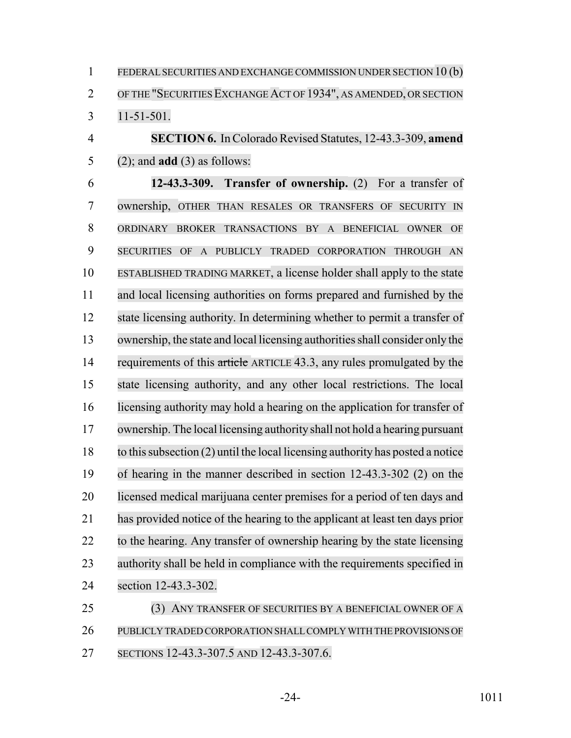1 FEDERAL SECURITIES AND EXCHANGE COMMISSION UNDER SECTION 10 (b) OF THE "SECURITIESEXCHANGEACT OF 1934", AS AMENDED, OR SECTION 11-51-501.

 **SECTION 6.** In Colorado Revised Statutes, 12-43.3-309, **amend** (2); and **add** (3) as follows:

 **12-43.3-309. Transfer of ownership.** (2) For a transfer of ownership, OTHER THAN RESALES OR TRANSFERS OF SECURITY IN ORDINARY BROKER TRANSACTIONS BY A BENEFICIAL OWNER OF SECURITIES OF A PUBLICLY TRADED CORPORATION THROUGH AN ESTABLISHED TRADING MARKET, a license holder shall apply to the state and local licensing authorities on forms prepared and furnished by the state licensing authority. In determining whether to permit a transfer of ownership, the state and local licensing authoritiesshall consider only the 14 requirements of this article ARTICLE 43.3, any rules promulgated by the state licensing authority, and any other local restrictions. The local licensing authority may hold a hearing on the application for transfer of ownership. The local licensing authority shall not hold a hearing pursuant to thissubsection (2) until the local licensing authority has posted a notice of hearing in the manner described in section 12-43.3-302 (2) on the licensed medical marijuana center premises for a period of ten days and has provided notice of the hearing to the applicant at least ten days prior to the hearing. Any transfer of ownership hearing by the state licensing authority shall be held in compliance with the requirements specified in section 12-43.3-302.

 (3) ANY TRANSFER OF SECURITIES BY A BENEFICIAL OWNER OF A PUBLICLY TRADED CORPORATION SHALL COMPLY WITH THE PROVISIONS OF SECTIONS 12-43.3-307.5 AND 12-43.3-307.6.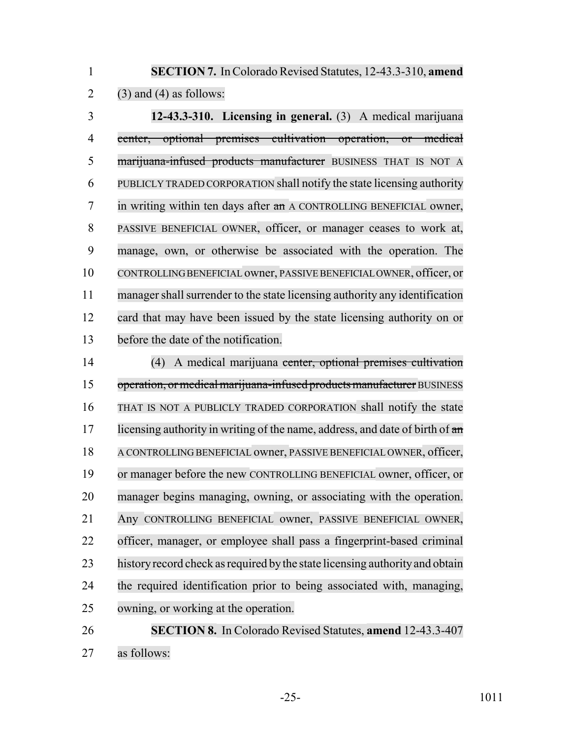**SECTION 7.** In Colorado Revised Statutes, 12-43.3-310, **amend** 2 (3) and (4) as follows:

 **12-43.3-310. Licensing in general.** (3) A medical marijuana center, optional premises cultivation operation, or medical marijuana-infused products manufacturer BUSINESS THAT IS NOT A PUBLICLY TRADED CORPORATION shall notify the state licensing authority in writing within ten days after an A CONTROLLING BENEFICIAL owner, PASSIVE BENEFICIAL OWNER, officer, or manager ceases to work at, manage, own, or otherwise be associated with the operation. The CONTROLLINGBENEFICIAL owner, PASSIVEBENEFICIAL OWNER, officer, or 11 manager shall surrender to the state licensing authority any identification card that may have been issued by the state licensing authority on or before the date of the notification.

 (4) A medical marijuana center, optional premises cultivation 15 operation, or medical marijuana-infused products manufacturer BUSINESS THAT IS NOT A PUBLICLY TRADED CORPORATION shall notify the state 17 licensing authority in writing of the name, address, and date of birth of  $\frac{d}{dx}$  A CONTROLLING BENEFICIAL owner, PASSIVE BENEFICIAL OWNER, officer, or manager before the new CONTROLLING BENEFICIAL owner, officer, or manager begins managing, owning, or associating with the operation. Any CONTROLLING BENEFICIAL owner, PASSIVE BENEFICIAL OWNER, officer, manager, or employee shall pass a fingerprint-based criminal 23 history record check as required by the state licensing authority and obtain the required identification prior to being associated with, managing, owning, or working at the operation.

 **SECTION 8.** In Colorado Revised Statutes, **amend** 12-43.3-407 as follows: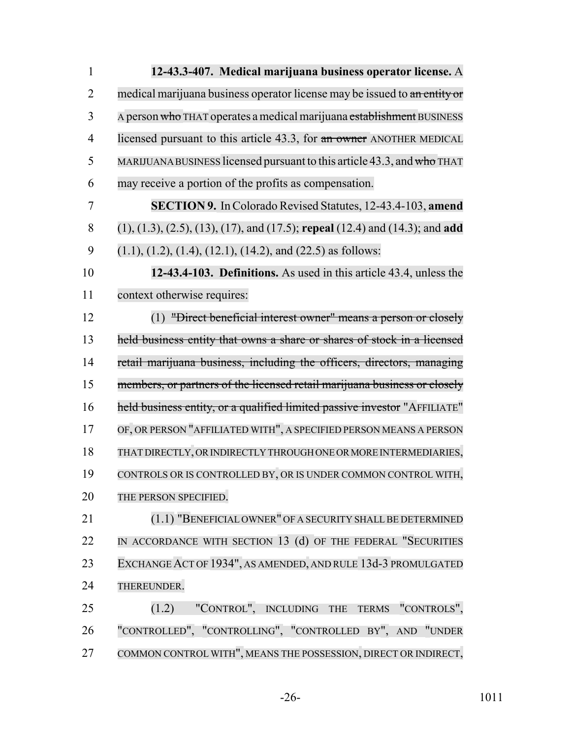| $\mathbf{1}$   | 12-43.3-407. Medical marijuana business operator license. A                            |
|----------------|----------------------------------------------------------------------------------------|
| $\overline{2}$ | medical marijuana business operator license may be issued to an entity or              |
| 3              | A person who THAT operates a medical marijuana establishment BUSINESS                  |
| $\overline{4}$ | licensed pursuant to this article 43.3, for an owner ANOTHER MEDICAL                   |
| 5              | MARIJUANA BUSINESS licensed pursuant to this article 43.3, and who THAT                |
| 6              | may receive a portion of the profits as compensation.                                  |
| 7              | <b>SECTION 9.</b> In Colorado Revised Statutes, 12-43.4-103, amend                     |
| 8              | $(1), (1.3), (2.5), (13), (17),$ and $(17.5)$ ; repeal $(12.4)$ and $(14.3)$ ; and add |
| 9              | $(1.1), (1.2), (1.4), (12.1), (14.2),$ and $(22.5)$ as follows:                        |
| 10             | 12-43.4-103. Definitions. As used in this article 43.4, unless the                     |
| 11             | context otherwise requires:                                                            |
| 12             | (1) "Direct beneficial interest owner" means a person or closely                       |
| 13             | held business entity that owns a share or shares of stock in a licensed                |
| 14             | retail marijuana business, including the officers, directors, managing                 |
| 15             | members, or partners of the licensed retail marijuana business or closely              |
| 16             | held business entity, or a qualified limited passive investor "AFFILIATE"              |
| 17             | OF, OR PERSON "AFFILIATED WITH", A SPECIFIED PERSON MEANS A PERSON                     |
| 18             | THAT DIRECTLY, OR INDIRECTLY THROUGH ONE OR MORE INTERMEDIARIES,                       |
| 19             | CONTROLS OR IS CONTROLLED BY, OR IS UNDER COMMON CONTROL WITH,                         |
| 20             | THE PERSON SPECIFIED.                                                                  |
| 21             | (1.1) "BENEFICIAL OWNER" OF A SECURITY SHALL BE DETERMINED                             |
| 22             | IN ACCORDANCE WITH SECTION 13 (d) OF THE FEDERAL "SECURITIES                           |
| 23             | EXCHANGE ACT OF 1934", AS AMENDED, AND RULE 13d-3 PROMULGATED                          |
| 24             | THEREUNDER.                                                                            |
| 25             | "CONTROL", INCLUDING THE TERMS "CONTROLS",<br>(1.2)                                    |
| 26             | "CONTROLLED", "CONTROLLING", "CONTROLLED BY", AND "UNDER                               |
| 27             | COMMON CONTROL WITH", MEANS THE POSSESSION, DIRECT OR INDIRECT,                        |

-26- 1011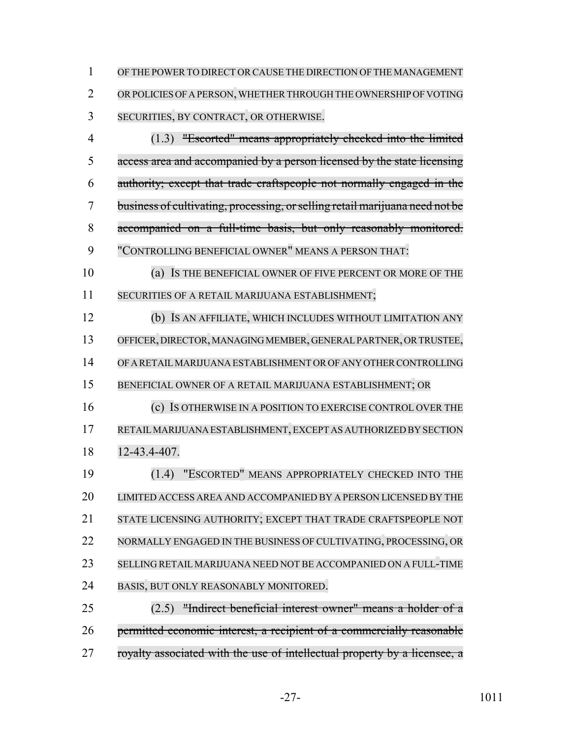OF THE POWERTO DIRECT OR CAUSE THE DIRECTION OF THE MANAGEMENT 2 OR POLICIES OF A PERSON, WHETHER THROUGH THE OWNERSHIP OF VOTING SECURITIES, BY CONTRACT, OR OTHERWISE.

 (1.3) "Escorted" means appropriately checked into the limited access area and accompanied by a person licensed by the state licensing authority; except that trade craftspeople not normally engaged in the business of cultivating, processing, orselling retail marijuana need not be accompanied on a full-time basis, but only reasonably monitored. "CONTROLLING BENEFICIAL OWNER" MEANS A PERSON THAT:

 (a) IS THE BENEFICIAL OWNER OF FIVE PERCENT OR MORE OF THE SECURITIES OF A RETAIL MARIJUANA ESTABLISHMENT;

 (b) IS AN AFFILIATE, WHICH INCLUDES WITHOUT LIMITATION ANY OFFICER, DIRECTOR, MANAGING MEMBER, GENERAL PARTNER, OR TRUSTEE, OF A RETAIL MARIJUANA ESTABLISHMENT OR OF ANY OTHER CONTROLLING BENEFICIAL OWNER OF A RETAIL MARIJUANA ESTABLISHMENT; OR (c) IS OTHERWISE IN A POSITION TO EXERCISE CONTROL OVER THE

 RETAILMARIJUANA ESTABLISHMENT,EXCEPT AS AUTHORIZED BY SECTION 12-43.4-407.

 (1.4) "ESCORTED" MEANS APPROPRIATELY CHECKED INTO THE LIMITED ACCESS AREA AND ACCOMPANIED BY A PERSON LICENSED BY THE STATE LICENSING AUTHORITY; EXCEPT THAT TRADE CRAFTSPEOPLE NOT NORMALLY ENGAGED IN THE BUSINESS OF CULTIVATING, PROCESSING, OR SELLING RETAIL MARIJUANA NEED NOT BE ACCOMPANIED ON A FULL-TIME BASIS, BUT ONLY REASONABLY MONITORED.

 (2.5) "Indirect beneficial interest owner" means a holder of a permitted economic interest, a recipient of a commercially reasonable 27 royalty associated with the use of intellectual property by a licensee, a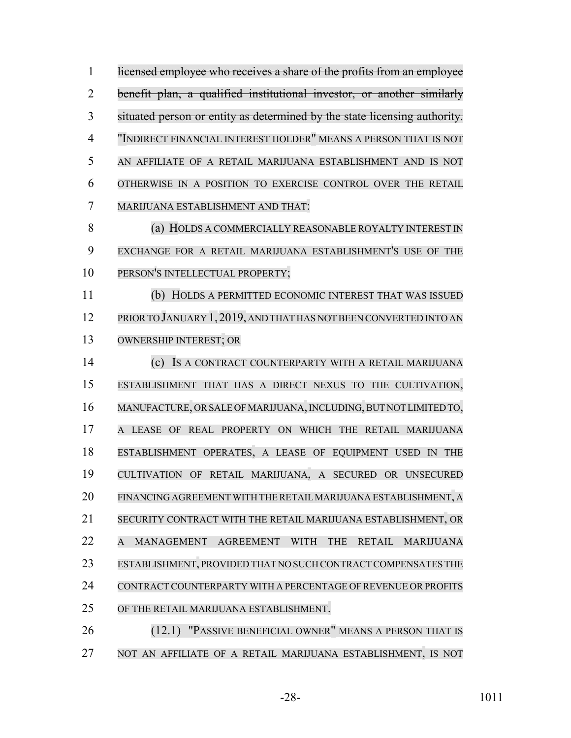1 licensed employee who receives a share of the profits from an employee benefit plan, a qualified institutional investor, or another similarly situated person or entity as determined by the state licensing authority. "INDIRECT FINANCIAL INTEREST HOLDER" MEANS A PERSON THAT IS NOT AN AFFILIATE OF A RETAIL MARIJUANA ESTABLISHMENT AND IS NOT OTHERWISE IN A POSITION TO EXERCISE CONTROL OVER THE RETAIL MARIJUANA ESTABLISHMENT AND THAT: 8 (a) HOLDS A COMMERCIALLY REASONABLE ROYALTY INTEREST IN EXCHANGE FOR A RETAIL MARIJUANA ESTABLISHMENT'S USE OF THE 10 PERSON'S INTELLECTUAL PROPERTY; (b) HOLDS A PERMITTED ECONOMIC INTEREST THAT WAS ISSUED PRIORTO JANUARY 1,2019, AND THAT HAS NOT BEEN CONVERTED INTO AN OWNERSHIP INTEREST; OR (c) IS A CONTRACT COUNTERPARTY WITH A RETAIL MARIJUANA ESTABLISHMENT THAT HAS A DIRECT NEXUS TO THE CULTIVATION, MANUFACTURE, ORSALE OFMARIJUANA,INCLUDING, BUT NOT LIMITED TO, A LEASE OF REAL PROPERTY ON WHICH THE RETAIL MARIJUANA ESTABLISHMENT OPERATES, A LEASE OF EQUIPMENT USED IN THE CULTIVATION OF RETAIL MARIJUANA, A SECURED OR UNSECURED FINANCING AGREEMENT WITH THERETAILMARIJUANA ESTABLISHMENT, A SECURITY CONTRACT WITH THE RETAIL MARIJUANA ESTABLISHMENT, OR A MANAGEMENT AGREEMENT WITH THE RETAIL MARIJUANA ESTABLISHMENT, PROVIDED THAT NO SUCH CONTRACT COMPENSATES THE 24 CONTRACT COUNTERPARTY WITH A PERCENTAGE OF REVENUE OR PROFITS OF THE RETAIL MARIJUANA ESTABLISHMENT. (12.1) "PASSIVE BENEFICIAL OWNER" MEANS A PERSON THAT IS

NOT AN AFFILIATE OF A RETAIL MARIJUANA ESTABLISHMENT, IS NOT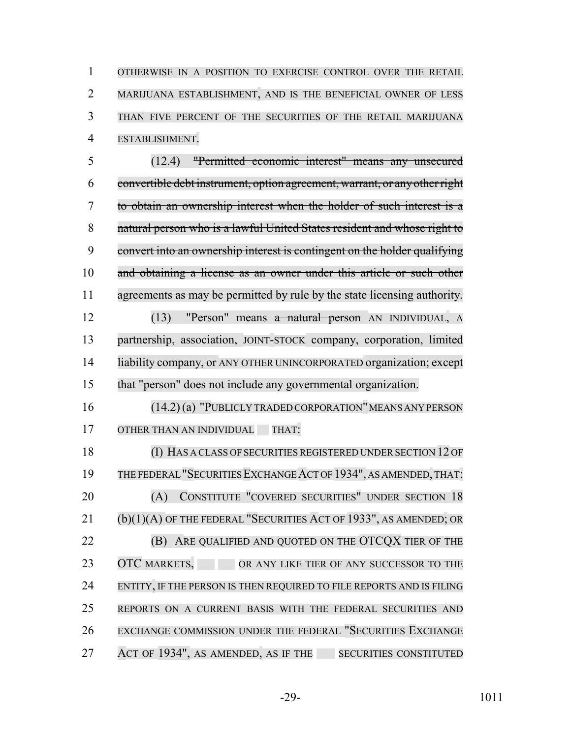OTHERWISE IN A POSITION TO EXERCISE CONTROL OVER THE RETAIL MARIJUANA ESTABLISHMENT, AND IS THE BENEFICIAL OWNER OF LESS THAN FIVE PERCENT OF THE SECURITIES OF THE RETAIL MARIJUANA ESTABLISHMENT.

 (12.4) "Permitted economic interest" means any unsecured convertible debt instrument, option agreement, warrant, or anyotherright to obtain an ownership interest when the holder of such interest is a natural person who is a lawful United States resident and whose right to convert into an ownership interest is contingent on the holder qualifying and obtaining a license as an owner under this article or such other 11 agreements as may be permitted by rule by the state licensing authority. (13) "Person" means a natural person AN INDIVIDUAL, A

 partnership, association, JOINT-STOCK company, corporation, limited liability company, or ANY OTHER UNINCORPORATED organization; except that "person" does not include any governmental organization.

16 (14.2) (a) "PUBLICLY TRADED CORPORATION" MEANS ANY PERSON 17 OTHER THAN AN INDIVIDUAL THAT:

 (I) HAS A CLASS OF SECURITIES REGISTERED UNDER SECTION 12 OF THE FEDERAL"SECURITIES EXCHANGE ACT OF 1934", AS AMENDED,THAT: (A) CONSTITUTE "COVERED SECURITIES" UNDER SECTION 18 (b)(1)(A) OF THE FEDERAL "SECURITIES ACT OF 1933", AS AMENDED; OR **(B) ARE QUALIFIED AND QUOTED ON THE OTCQX TIER OF THE** 23 OTC MARKETS, OR ANY LIKE TIER OF ANY SUCCESSOR TO THE ENTITY, IF THE PERSON IS THEN REQUIRED TO FILE REPORTS AND IS FILING REPORTS ON A CURRENT BASIS WITH THE FEDERAL SECURITIES AND EXCHANGE COMMISSION UNDER THE FEDERAL "SECURITIES EXCHANGE 27 ACT OF 1934", AS AMENDED, AS IF THE SECURITIES CONSTITUTED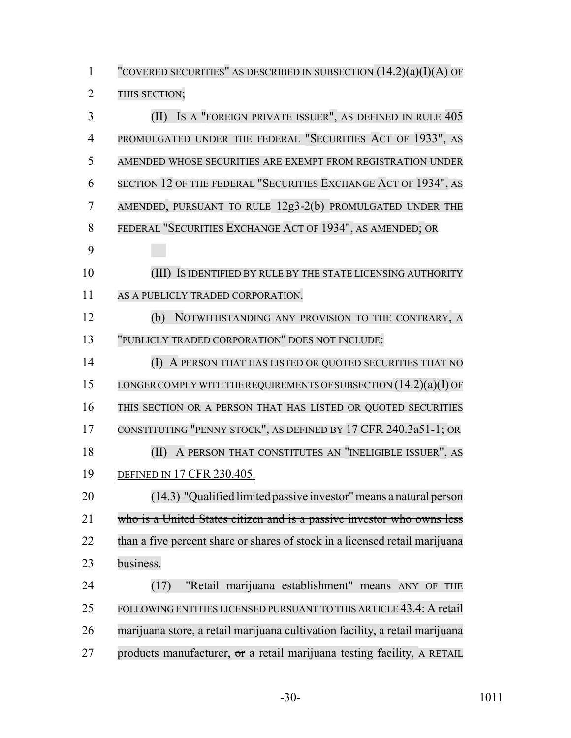"COVERED SECURITIES" AS DESCRIBED IN SUBSECTION (14.2)(a)(I)(A) OF THIS SECTION; (II) IS A "FOREIGN PRIVATE ISSUER", AS DEFINED IN RULE 405 PROMULGATED UNDER THE FEDERAL "SECURITIES ACT OF 1933", AS AMENDED WHOSE SECURITIES ARE EXEMPT FROM REGISTRATION UNDER SECTION 12 OF THE FEDERAL "SECURITIES EXCHANGE ACT OF 1934", AS AMENDED, PURSUANT TO RULE 12g3-2(b) PROMULGATED UNDER THE FEDERAL "SECURITIES EXCHANGE ACT OF 1934", AS AMENDED; OR (III) IS IDENTIFIED BY RULE BY THE STATE LICENSING AUTHORITY AS A PUBLICLY TRADED CORPORATION. (b) NOTWITHSTANDING ANY PROVISION TO THE CONTRARY, A "PUBLICLY TRADED CORPORATION" DOES NOT INCLUDE: (I) A PERSON THAT HAS LISTED OR QUOTED SECURITIES THAT NO 15 LONGER COMPLY WITH THE REQUIREMENTS OF SUBSECTION  $(14.2)(a)(I)$  OF THIS SECTION OR A PERSON THAT HAS LISTED OR QUOTED SECURITIES CONSTITUTING "PENNY STOCK", AS DEFINED BY 17 CFR 240.3a51-1; OR (II) A PERSON THAT CONSTITUTES AN "INELIGIBLE ISSUER", AS DEFINED IN 17 CFR 230.405. (14.3) "Qualified limited passive investor" means a natural person who is a United States citizen and is a passive investor who owns less 22 than a five percent share or shares of stock in a licensed retail marijuana business. (17) "Retail marijuana establishment" means ANY OF THE FOLLOWING ENTITIES LICENSED PURSUANT TO THIS ARTICLE 43.4: A retail marijuana store, a retail marijuana cultivation facility, a retail marijuana 27 products manufacturer,  $\sigma$  a retail marijuana testing facility, A RETAIL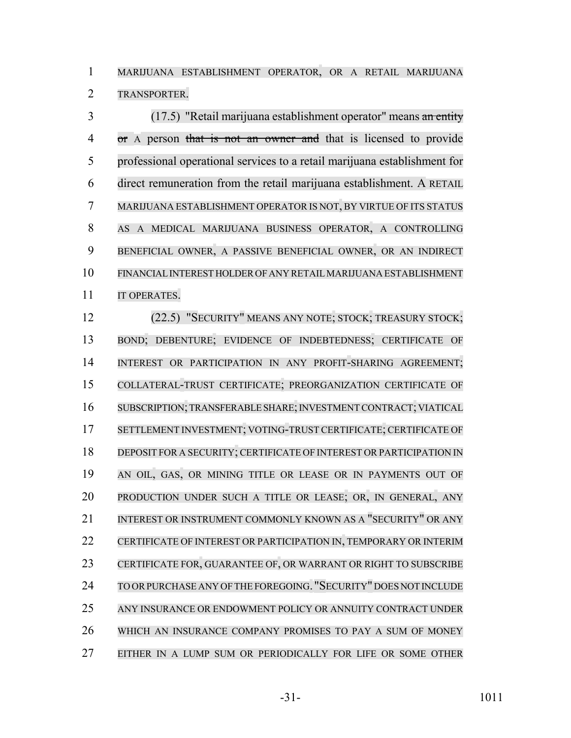MARIJUANA ESTABLISHMENT OPERATOR, OR A RETAIL MARIJUANA TRANSPORTER.

 (17.5) "Retail marijuana establishment operator" means an entity 4 or A person that is not an owner and that is licensed to provide professional operational services to a retail marijuana establishment for direct remuneration from the retail marijuana establishment. A RETAIL MARIJUANA ESTABLISHMENT OPERATOR IS NOT, BY VIRTUE OF ITS STATUS AS A MEDICAL MARIJUANA BUSINESS OPERATOR, A CONTROLLING BENEFICIAL OWNER, A PASSIVE BENEFICIAL OWNER, OR AN INDIRECT FINANCIAL INTEREST HOLDER OF ANY RETAIL MARIJUANA ESTABLISHMENT 11 IT OPERATES.

 (22.5) "SECURITY" MEANS ANY NOTE; STOCK; TREASURY STOCK; BOND; DEBENTURE; EVIDENCE OF INDEBTEDNESS; CERTIFICATE OF 14 INTEREST OR PARTICIPATION IN ANY PROFIT-SHARING AGREEMENT; COLLATERAL-TRUST CERTIFICATE; PREORGANIZATION CERTIFICATE OF SUBSCRIPTION; TRANSFERABLE SHARE; INVESTMENT CONTRACT; VIATICAL SETTLEMENT INVESTMENT; VOTING-TRUST CERTIFICATE; CERTIFICATE OF DEPOSIT FOR A SECURITY; CERTIFICATE OF INTEREST OR PARTICIPATION IN AN OIL, GAS, OR MINING TITLE OR LEASE OR IN PAYMENTS OUT OF PRODUCTION UNDER SUCH A TITLE OR LEASE; OR, IN GENERAL, ANY 21 INTEREST OR INSTRUMENT COMMONLY KNOWN AS A "SECURITY" OR ANY CERTIFICATE OF INTEREST OR PARTICIPATION IN, TEMPORARY OR INTERIM CERTIFICATE FOR, GUARANTEE OF, OR WARRANT OR RIGHT TO SUBSCRIBE TO ORPURCHASE ANY OFTHE FOREGOING. "SECURITY" DOES NOT INCLUDE ANY INSURANCE OR ENDOWMENT POLICY OR ANNUITY CONTRACT UNDER WHICH AN INSURANCE COMPANY PROMISES TO PAY A SUM OF MONEY EITHER IN A LUMP SUM OR PERIODICALLY FOR LIFE OR SOME OTHER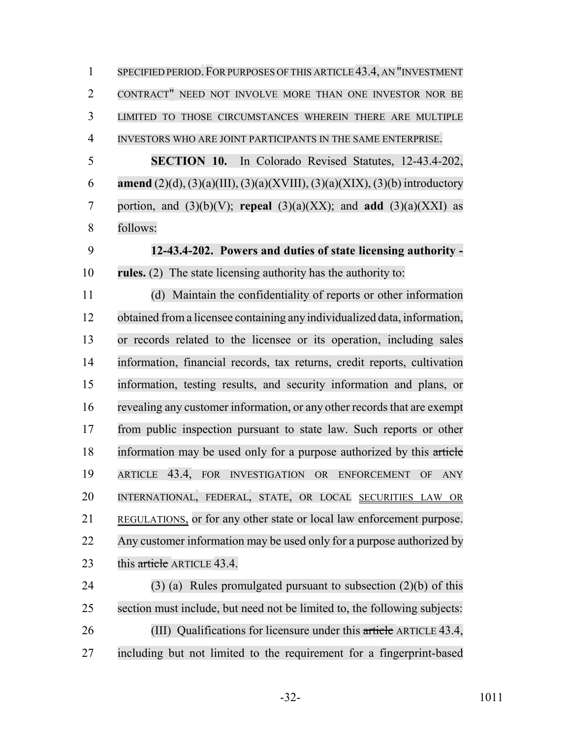| $\mathbf{1}$   | SPECIFIED PERIOD. FOR PURPOSES OF THIS ARTICLE 43.4, AN "INVESTMENT               |
|----------------|-----------------------------------------------------------------------------------|
| $\overline{2}$ | CONTRACT" NEED NOT INVOLVE MORE THAN ONE INVESTOR NOR BE                          |
| 3              | LIMITED TO THOSE CIRCUMSTANCES WHEREIN THERE ARE MULTIPLE                         |
| $\overline{4}$ | INVESTORS WHO ARE JOINT PARTICIPANTS IN THE SAME ENTERPRISE.                      |
| 5              | <b>SECTION 10.</b> In Colorado Revised Statutes, 12-43.4-202,                     |
| 6              | <b>amend</b> (2)(d), (3)(a)(III), (3)(a)(XVIII), (3)(a)(XIX), (3)(b) introductory |
| 7              | portion, and $(3)(b)(V)$ ; repeal $(3)(a)(XX)$ ; and add $(3)(a)(XXI)$ as         |
| 8              | follows:                                                                          |
| 9              | 12-43.4-202. Powers and duties of state licensing authority -                     |
| 10             | rules. (2) The state licensing authority has the authority to:                    |
| 11             | (d) Maintain the confidentiality of reports or other information                  |
| 12             | obtained from a licensee containing any individualized data, information,         |
| 13             | or records related to the licensee or its operation, including sales              |
| 14             | information, financial records, tax returns, credit reports, cultivation          |
| 15             | information, testing results, and security information and plans, or              |
| 16             | revealing any customer information, or any other records that are exempt          |
| 17             | from public inspection pursuant to state law. Such reports or other               |
| 18             | information may be used only for a purpose authorized by this article             |
| 19             | ARTICLE 43.4, FOR INVESTIGATION OR ENFORCEMENT<br>OF<br><b>ANY</b>                |
| 20             | INTERNATIONAL, FEDERAL, STATE, OR LOCAL SECURITIES LAW OR                         |
| 21             | REGULATIONS, or for any other state or local law enforcement purpose.             |
| 22             | Any customer information may be used only for a purpose authorized by             |
| 23             | this article ARTICLE 43.4.                                                        |
| 24             | $(3)$ (a) Rules promulgated pursuant to subsection $(2)(b)$ of this               |
| 25             | section must include, but need not be limited to, the following subjects:         |
| 26             | (III) Qualifications for licensure under this article ARTICLE 43.4,               |
| 27             | including but not limited to the requirement for a fingerprint-based              |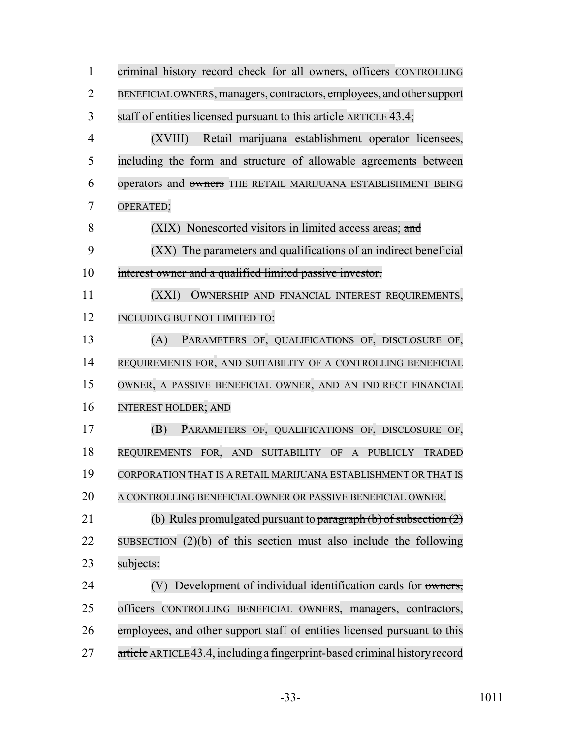1 criminal history record check for all owners, officers CONTROLLING BENEFICIAL OWNERS, managers, contractors, employees, and other support 3 staff of entities licensed pursuant to this article ARTICLE 43.4; (XVIII) Retail marijuana establishment operator licensees, including the form and structure of allowable agreements between operators and owners THE RETAIL MARIJUANA ESTABLISHMENT BEING OPERATED; (XIX) Nonescorted visitors in limited access areas; and (XX) The parameters and qualifications of an indirect beneficial interest owner and a qualified limited passive investor. (XXI) OWNERSHIP AND FINANCIAL INTEREST REQUIREMENTS, 12 INCLUDING BUT NOT LIMITED TO: (A) PARAMETERS OF, QUALIFICATIONS OF, DISCLOSURE OF, REQUIREMENTS FOR, AND SUITABILITY OF A CONTROLLING BENEFICIAL OWNER, A PASSIVE BENEFICIAL OWNER, AND AN INDIRECT FINANCIAL INTEREST HOLDER; AND (B) PARAMETERS OF, QUALIFICATIONS OF, DISCLOSURE OF, REQUIREMENTS FOR, AND SUITABILITY OF A PUBLICLY TRADED CORPORATION THAT IS A RETAIL MARIJUANA ESTABLISHMENT OR THAT IS A CONTROLLING BENEFICIAL OWNER OR PASSIVE BENEFICIAL OWNER. 21 (b) Rules promulgated pursuant to paragraph  $(b)$  of subsection  $(2)$  SUBSECTION (2)(b) of this section must also include the following subjects: (V) Development of individual identification cards for owners, 25 officers CONTROLLING BENEFICIAL OWNERS, managers, contractors, employees, and other support staff of entities licensed pursuant to this article ARTICLE43.4, including a fingerprint-based criminal history record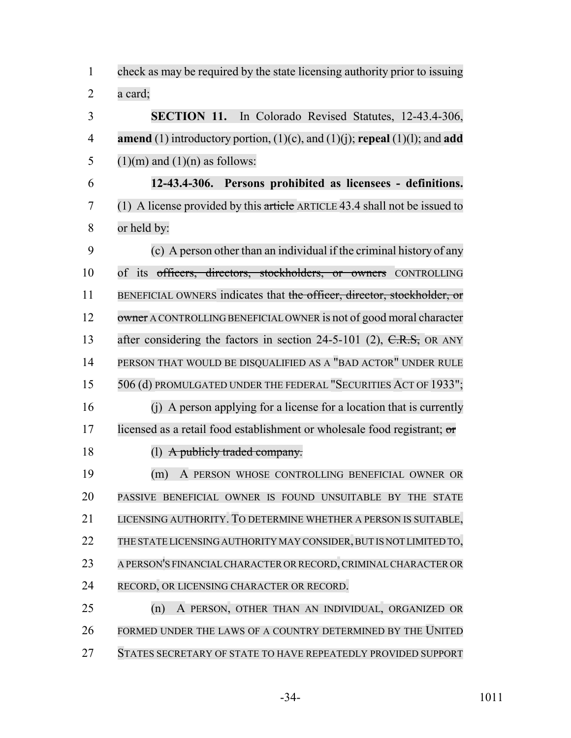check as may be required by the state licensing authority prior to issuing a card; **SECTION 11.** In Colorado Revised Statutes, 12-43.4-306, **amend** (1) introductory portion, (1)(c), and (1)(j); **repeal** (1)(l); and **add** 5 (1)(m) and (1)(n) as follows: **12-43.4-306. Persons prohibited as licensees - definitions.** (1) A license provided by this article ARTICLE 43.4 shall not be issued to or held by: (c) A person other than an individual if the criminal history of any 10 of its officers, directors, stockholders, or owners CONTROLLING 11 BENEFICIAL OWNERS indicates that the officer, director, stockholder, or 12 owner A CONTROLLING BENEFICIAL OWNER is not of good moral character 13 after considering the factors in section 24-5-101 (2), C.R.S. OR ANY PERSON THAT WOULD BE DISQUALIFIED AS A "BAD ACTOR" UNDER RULE 506 (d) PROMULGATED UNDER THE FEDERAL "SECURITIES ACT OF 1933"; (j) A person applying for a license for a location that is currently 17 licensed as a retail food establishment or wholesale food registrant; or 18 (1) A publicly traded company. (m) A PERSON WHOSE CONTROLLING BENEFICIAL OWNER OR PASSIVE BENEFICIAL OWNER IS FOUND UNSUITABLE BY THE STATE LICENSING AUTHORITY. TO DETERMINE WHETHER A PERSON IS SUITABLE, THE STATE LICENSING AUTHORITY MAY CONSIDER,BUT IS NOT LIMITED TO, A PERSON'S FINANCIAL CHARACTER OR RECORD,CRIMINALCHARACTER OR RECORD, OR LICENSING CHARACTER OR RECORD. (n) A PERSON, OTHER THAN AN INDIVIDUAL, ORGANIZED OR FORMED UNDER THE LAWS OF A COUNTRY DETERMINED BY THE UNITED STATES SECRETARY OF STATE TO HAVE REPEATEDLY PROVIDED SUPPORT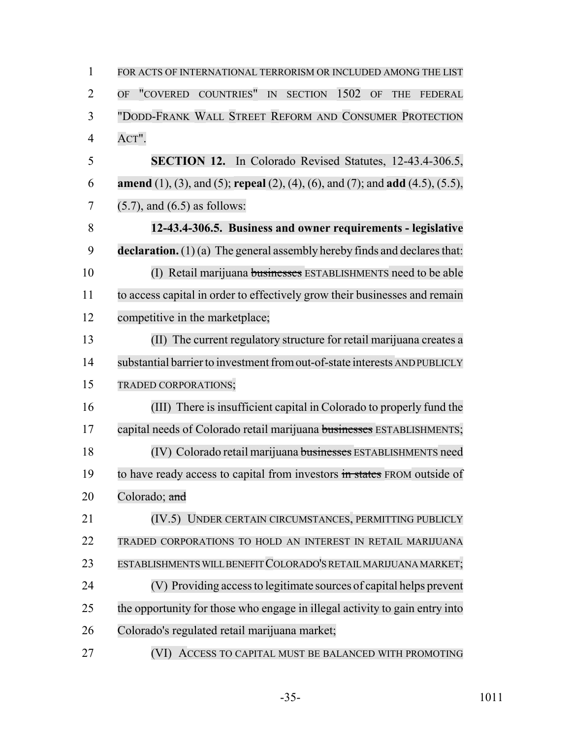| $\mathbf{1}$   | FOR ACTS OF INTERNATIONAL TERRORISM OR INCLUDED AMONG THE LIST                                                                           |
|----------------|------------------------------------------------------------------------------------------------------------------------------------------|
| $\overline{2}$ | "COVERED COUNTRIES"<br>SECTION 1502<br>$\ensuremath{\mathop{\rm IN}\nolimits}$<br><b>OF</b><br><b>OF</b><br><b>THE</b><br><b>FEDERAL</b> |
| 3              | "DODD-FRANK WALL STREET REFORM AND CONSUMER PROTECTION                                                                                   |
| $\overline{4}$ | ACT".                                                                                                                                    |
| 5              | <b>SECTION 12.</b> In Colorado Revised Statutes, 12-43.4-306.5,                                                                          |
| 6              | <b>amend</b> (1), (3), and (5); <b>repeal</b> (2), (4), (6), and (7); and <b>add</b> (4.5), (5.5),                                       |
| 7              | $(5.7)$ , and $(6.5)$ as follows:                                                                                                        |
| 8              | 12-43.4-306.5. Business and owner requirements - legislative                                                                             |
| 9              | declaration. $(1)(a)$ The general assembly hereby finds and declares that:                                                               |
| 10             | (I) Retail marijuana businesses ESTABLISHMENTS need to be able                                                                           |
| 11             | to access capital in order to effectively grow their businesses and remain                                                               |
| 12             | competitive in the marketplace;                                                                                                          |
| 13             | (II) The current regulatory structure for retail marijuana creates a                                                                     |
| 14             | substantial barrier to investment from out-of-state interests AND PUBLICLY                                                               |
| 15             | TRADED CORPORATIONS;                                                                                                                     |
| 16             | (III) There is insufficient capital in Colorado to properly fund the                                                                     |
| 17             | capital needs of Colorado retail marijuana businesses ESTABLISHMENTS;                                                                    |
| 18             | (IV) Colorado retail marijuana businesses ESTABLISHMENTS need                                                                            |
| 19             | to have ready access to capital from investors in states FROM outside of                                                                 |
| 20             | Colorado; and                                                                                                                            |
| 21             | (IV.5) UNDER CERTAIN CIRCUMSTANCES, PERMITTING PUBLICLY                                                                                  |
| 22             | TRADED CORPORATIONS TO HOLD AN INTEREST IN RETAIL MARIJUANA                                                                              |
| 23             | ESTABLISHMENTS WILL BENEFIT COLORADO'S RETAIL MARIJUANA MARKET;                                                                          |
| 24             | (V) Providing access to legitimate sources of capital helps prevent                                                                      |
| 25             | the opportunity for those who engage in illegal activity to gain entry into                                                              |
| 26             | Colorado's regulated retail marijuana market;                                                                                            |
| 27             | ACCESS TO CAPITAL MUST BE BALANCED WITH PROMOTING<br>(VI)                                                                                |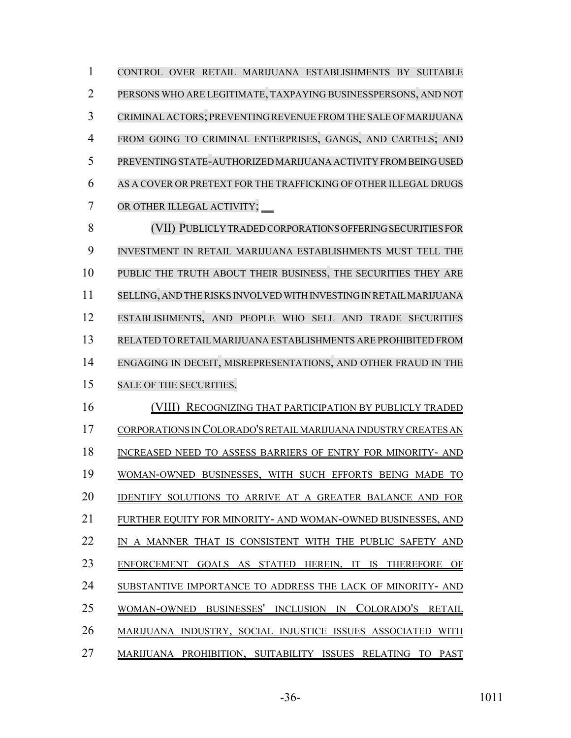CONTROL OVER RETAIL MARIJUANA ESTABLISHMENTS BY SUITABLE PERSONS WHO ARE LEGITIMATE, TAXPAYING BUSINESSPERSONS, AND NOT CRIMINAL ACTORS; PREVENTING REVENUE FROM THE SALE OF MARIJUANA FROM GOING TO CRIMINAL ENTERPRISES, GANGS, AND CARTELS; AND PREVENTING STATE-AUTHORIZED MARIJUANA ACTIVITY FROM BEING USED AS A COVER OR PRETEXT FOR THE TRAFFICKING OF OTHER ILLEGAL DRUGS OR OTHER ILLEGAL ACTIVITY; (VII) PUBLICLY TRADED CORPORATIONS OFFERING SECURITIES FOR INVESTMENT IN RETAIL MARIJUANA ESTABLISHMENTS MUST TELL THE PUBLIC THE TRUTH ABOUT THEIR BUSINESS, THE SECURITIES THEY ARE SELLING, AND THERISKS INVOLVED WITH INVESTING IN RETAIL MARIJUANA ESTABLISHMENTS, AND PEOPLE WHO SELL AND TRADE SECURITIES RELATED TO RETAILMARIJUANA ESTABLISHMENTS ARE PROHIBITED FROM ENGAGING IN DECEIT, MISREPRESENTATIONS, AND OTHER FRAUD IN THE SALE OF THE SECURITIES. (VIII) RECOGNIZING THAT PARTICIPATION BY PUBLICLY TRADED CORPORATIONS IN COLORADO'S RETAIL MARIJUANA INDUSTRY CREATES AN INCREASED NEED TO ASSESS BARRIERS OF ENTRY FOR MINORITY- AND WOMAN-OWNED BUSINESSES, WITH SUCH EFFORTS BEING MADE TO IDENTIFY SOLUTIONS TO ARRIVE AT A GREATER BALANCE AND FOR FURTHER EQUITY FOR MINORITY- AND WOMAN-OWNED BUSINESSES, AND 22 IN A MANNER THAT IS CONSISTENT WITH THE PUBLIC SAFETY AND ENFORCEMENT GOALS AS STATED HEREIN, IT IS THEREFORE OF SUBSTANTIVE IMPORTANCE TO ADDRESS THE LACK OF MINORITY- AND WOMAN-OWNED BUSINESSES' INCLUSION IN COLORADO'S RETAIL MARIJUANA INDUSTRY, SOCIAL INJUSTICE ISSUES ASSOCIATED WITH

MARIJUANA PROHIBITION, SUITABILITY ISSUES RELATING TO PAST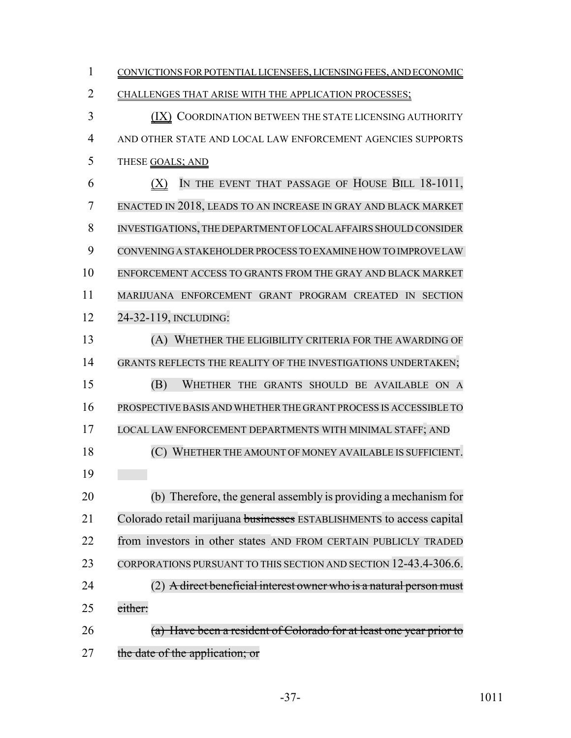| $\mathbf{1}$   | CONVICTIONS FOR POTENTIAL LICENSEES, LICENSING FEES, AND ECONOMIC     |
|----------------|-----------------------------------------------------------------------|
| $\overline{2}$ | CHALLENGES THAT ARISE WITH THE APPLICATION PROCESSES;                 |
| 3              | (IX) COORDINATION BETWEEN THE STATE LICENSING AUTHORITY               |
| $\overline{4}$ | AND OTHER STATE AND LOCAL LAW ENFORCEMENT AGENCIES SUPPORTS           |
| 5              | THESE GOALS; AND                                                      |
| 6              | IN THE EVENT THAT PASSAGE OF HOUSE BILL 18-1011,<br>(X)               |
| $\overline{7}$ | ENACTED IN 2018, LEADS TO AN INCREASE IN GRAY AND BLACK MARKET        |
| 8              | INVESTIGATIONS, THE DEPARTMENT OF LOCAL AFFAIRS SHOULD CONSIDER       |
| 9              | CONVENING A STAKEHOLDER PROCESS TO EXAMINE HOW TO IMPROVE LAW         |
| 10             | ENFORCEMENT ACCESS TO GRANTS FROM THE GRAY AND BLACK MARKET           |
| 11             | MARIJUANA ENFORCEMENT GRANT PROGRAM CREATED IN SECTION                |
| 12             | 24-32-119, INCLUDING:                                                 |
| 13             | (A) WHETHER THE ELIGIBILITY CRITERIA FOR THE AWARDING OF              |
| 14             | GRANTS REFLECTS THE REALITY OF THE INVESTIGATIONS UNDERTAKEN;         |
| 15             | (B)<br>WHETHER THE GRANTS SHOULD BE AVAILABLE ON A                    |
| 16             | PROSPECTIVE BASIS AND WHETHER THE GRANT PROCESS IS ACCESSIBLE TO      |
| 17             | LOCAL LAW ENFORCEMENT DEPARTMENTS WITH MINIMAL STAFF; AND             |
| 18             | (C) WHETHER THE AMOUNT OF MONEY AVAILABLE IS SUFFICIENT.              |
| 19             |                                                                       |
| 20             | (b) Therefore, the general assembly is providing a mechanism for      |
| 21             | Colorado retail marijuana businesses ESTABLISHMENTS to access capital |
| 22             | from investors in other states AND FROM CERTAIN PUBLICLY TRADED       |
| 23             | CORPORATIONS PURSUANT TO THIS SECTION AND SECTION 12-43.4-306.6.      |
| 24             | (2) A direct beneficial interest owner who is a natural person must   |
| 25             | either:                                                               |
| 26             | (a) Have been a resident of Colorado for at least one year prior to   |
| 27             | the date of the application; or                                       |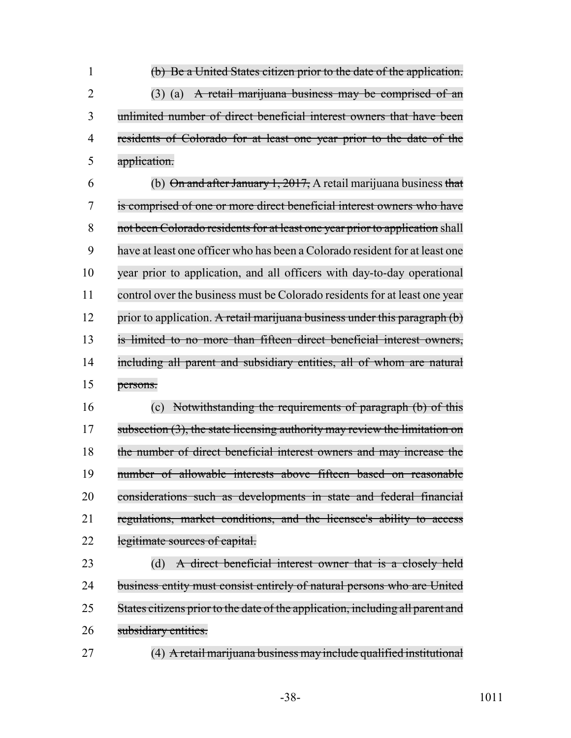(b) Be a United States citizen prior to the date of the application. (3) (a) A retail marijuana business may be comprised of an unlimited number of direct beneficial interest owners that have been residents of Colorado for at least one year prior to the date of the application.

6 (b) On and after January 1, 2017, A retail marijuana business that is comprised of one or more direct beneficial interest owners who have 8 not been Colorado residents for at least one year prior to application shall have at least one officer who has been a Colorado resident for at least one year prior to application, and all officers with day-to-day operational 11 control over the business must be Colorado residents for at least one year 12 prior to application. A retail marijuana business under this paragraph (b) is limited to no more than fifteen direct beneficial interest owners, 14 including all parent and subsidiary entities, all of whom are natural persons.

 (c) Notwithstanding the requirements of paragraph (b) of this 17 subsection (3), the state licensing authority may review the limitation on the number of direct beneficial interest owners and may increase the number of allowable interests above fifteen based on reasonable considerations such as developments in state and federal financial regulations, market conditions, and the licensee's ability to access 22 legitimate sources of capital.

 (d) A direct beneficial interest owner that is a closely held 24 business entity must consist entirely of natural persons who are United 25 States citizens prior to the date of the application, including all parent and 26 subsidiary entities.

(4) A retail marijuana business may include qualified institutional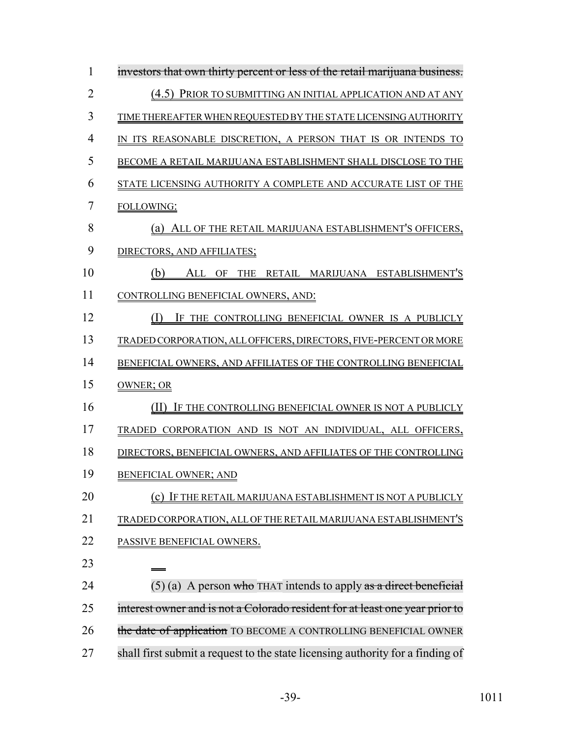| 1              | investors that own thirty percent or less of the retail marijuana business.    |
|----------------|--------------------------------------------------------------------------------|
| $\overline{2}$ | (4.5) PRIOR TO SUBMITTING AN INITIAL APPLICATION AND AT ANY                    |
| 3              | TIME THEREAFTER WHEN REQUESTED BY THE STATE LICENSING AUTHORITY                |
| 4              | IN ITS REASONABLE DISCRETION, A PERSON THAT IS OR INTENDS TO                   |
| 5              | BECOME A RETAIL MARIJUANA ESTABLISHMENT SHALL DISCLOSE TO THE                  |
| 6              | STATE LICENSING AUTHORITY A COMPLETE AND ACCURATE LIST OF THE                  |
| 7              | FOLLOWING:                                                                     |
| 8              | (a) ALL OF THE RETAIL MARIJUANA ESTABLISHMENT'S OFFICERS,                      |
| 9              | DIRECTORS, AND AFFILIATES;                                                     |
| 10             | ALL OF THE RETAIL MARIJUANA ESTABLISHMENT'S<br>(b)                             |
| 11             | CONTROLLING BENEFICIAL OWNERS, AND:                                            |
| 12             | $(\Gamma)$<br>IF THE CONTROLLING BENEFICIAL OWNER IS A PUBLICLY                |
| 13             | TRADED CORPORATION, ALL OFFICERS, DIRECTORS, FIVE-PERCENT OR MORE              |
| 14             | BENEFICIAL OWNERS, AND AFFILIATES OF THE CONTROLLING BENEFICIAL                |
| 15             | OWNER; OR                                                                      |
| 16             | (II)<br>IF THE CONTROLLING BENEFICIAL OWNER IS NOT A PUBLICLY                  |
| 17             | TRADED CORPORATION AND IS NOT AN INDIVIDUAL, ALL OFFICERS,                     |
| 18             | DIRECTORS, BENEFICIAL OWNERS, AND AFFILIATES OF THE CONTROLLING                |
| 19             | <b>BENEFICIAL OWNER; AND</b>                                                   |
| 20             | IF THE RETAIL MARIJUANA ESTABLISHMENT IS NOT A PUBLICLY                        |
| 21             | TRADED CORPORATION, ALL OF THE RETAIL MARIJUANA ESTABLISHMENT'S                |
| 22             | PASSIVE BENEFICIAL OWNERS.                                                     |
| 23             |                                                                                |
| 24             | $(5)$ (a) A person who THAT intends to apply as a direct beneficial            |
| 25             | interest owner and is not a Colorado resident for at least one year prior to   |
| 26             | the date of application TO BECOME A CONTROLLING BENEFICIAL OWNER               |
| 27             | shall first submit a request to the state licensing authority for a finding of |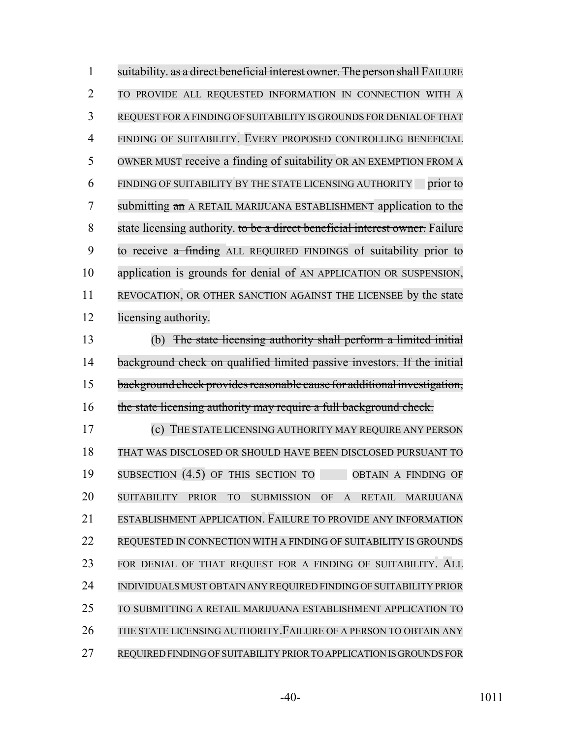| $\mathbf{1}$   | suitability. as a direct beneficial interest owner. The person shall FAILURE                                                    |
|----------------|---------------------------------------------------------------------------------------------------------------------------------|
| $\overline{2}$ | TO PROVIDE ALL REQUESTED INFORMATION IN CONNECTION WITH A                                                                       |
| 3              | REQUEST FOR A FINDING OF SUITABILITY IS GROUNDS FOR DENIAL OF THAT                                                              |
| 4              | FINDING OF SUITABILITY. EVERY PROPOSED CONTROLLING BENEFICIAL                                                                   |
| 5              | OWNER MUST receive a finding of suitability OR AN EXEMPTION FROM A                                                              |
| 6              | FINDING OF SUITABILITY BY THE STATE LICENSING AUTHORITY prior to                                                                |
| 7              | submitting an A RETAIL MARIJUANA ESTABLISHMENT application to the                                                               |
| 8              | state licensing authority. to be a direct beneficial interest owner. Failure                                                    |
| 9              | to receive a finding ALL REQUIRED FINDINGS of suitability prior to                                                              |
| 10             | application is grounds for denial of AN APPLICATION OR SUSPENSION,                                                              |
| 11             | REVOCATION, OR OTHER SANCTION AGAINST THE LICENSEE by the state                                                                 |
| 12             | licensing authority.                                                                                                            |
| 13             | (b) The state licensing authority shall perform a limited initial                                                               |
| 14             | background check on qualified limited passive investors. If the initial                                                         |
| 15             | background check provides reasonable cause for additional investigation,                                                        |
| 16             | the state licensing authority may require a full background check.                                                              |
| 17             | (c) THE STATE LICENSING AUTHORITY MAY REQUIRE ANY PERSON                                                                        |
| 18             | THAT WAS DISCLOSED OR SHOULD HAVE BEEN DISCLOSED PURSUANT TO                                                                    |
| 19             | SUBSECTION $(4.5)$ OF THIS SECTION TO<br>OBTAIN A FINDING OF                                                                    |
| 20             | <b>SUITABILITY</b><br><b>PRIOR</b><br><b>TO</b><br><b>SUBMISSION</b><br>OF<br>$\mathbf{A}$<br><b>RETAIL</b><br><b>MARIJUANA</b> |
| 21             | ESTABLISHMENT APPLICATION. FAILURE TO PROVIDE ANY INFORMATION                                                                   |
| 22             | REQUESTED IN CONNECTION WITH A FINDING OF SUITABILITY IS GROUNDS                                                                |
| 23             | FOR DENIAL OF THAT REQUEST FOR A FINDING OF SUITABILITY. ALL                                                                    |
| 24             | INDIVIDUALS MUST OBTAIN ANY REQUIRED FINDING OF SUITABILITY PRIOR                                                               |
| 25             | TO SUBMITTING A RETAIL MARIJUANA ESTABLISHMENT APPLICATION TO                                                                   |
| 26             | THE STATE LICENSING AUTHORITY. FAILURE OF A PERSON TO OBTAIN ANY                                                                |
| 27             | REQUIRED FINDING OF SUITABILITY PRIOR TO APPLICATION IS GROUNDS FOR                                                             |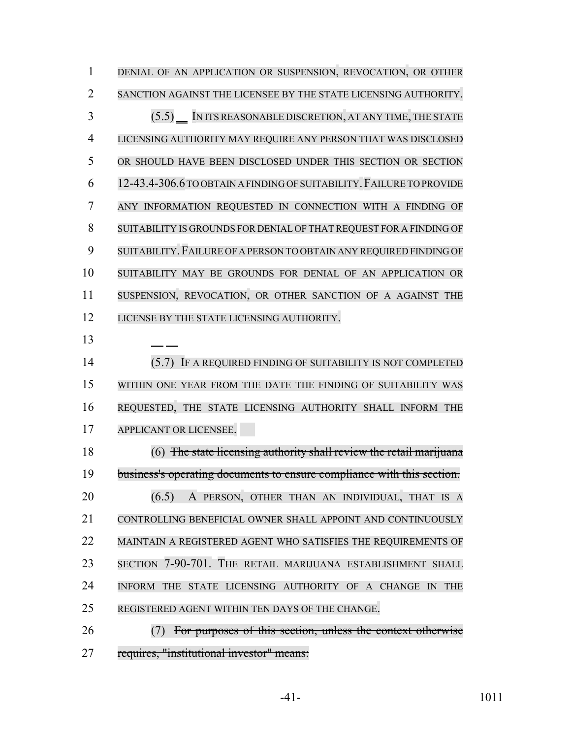DENIAL OF AN APPLICATION OR SUSPENSION, REVOCATION, OR OTHER SANCTION AGAINST THE LICENSEE BY THE STATE LICENSING AUTHORITY. (5.5) IN ITS REASONABLE DISCRETION, AT ANY TIME, THE STATE LICENSING AUTHORITY MAY REQUIRE ANY PERSON THAT WAS DISCLOSED OR SHOULD HAVE BEEN DISCLOSED UNDER THIS SECTION OR SECTION 12-43.4-306.6 TO OBTAIN A FINDING OF SUITABILITY.FAILURE TO PROVIDE ANY INFORMATION REQUESTED IN CONNECTION WITH A FINDING OF SUITABILITY IS GROUNDS FOR DENIAL OF THAT REQUEST FOR A FINDING OF SUITABILITY.FAILURE OF A PERSON TO OBTAIN ANY REQUIRED FINDING OF SUITABILITY MAY BE GROUNDS FOR DENIAL OF AN APPLICATION OR SUSPENSION, REVOCATION, OR OTHER SANCTION OF A AGAINST THE 12 LICENSE BY THE STATE LICENSING AUTHORITY. (5.7) IF A REQUIRED FINDING OF SUITABILITY IS NOT COMPLETED WITHIN ONE YEAR FROM THE DATE THE FINDING OF SUITABILITY WAS REQUESTED, THE STATE LICENSING AUTHORITY SHALL INFORM THE APPLICANT OR LICENSEE. (6) The state licensing authority shall review the retail marijuana business's operating documents to ensure compliance with this section. **(6.5)** A PERSON, OTHER THAN AN INDIVIDUAL, THAT IS A CONTROLLING BENEFICIAL OWNER SHALL APPOINT AND CONTINUOUSLY MAINTAIN A REGISTERED AGENT WHO SATISFIES THE REQUIREMENTS OF SECTION 7-90-701. THE RETAIL MARIJUANA ESTABLISHMENT SHALL INFORM THE STATE LICENSING AUTHORITY OF A CHANGE IN THE REGISTERED AGENT WITHIN TEN DAYS OF THE CHANGE. (7) For purposes of this section, unless the context otherwise

requires, "institutional investor" means: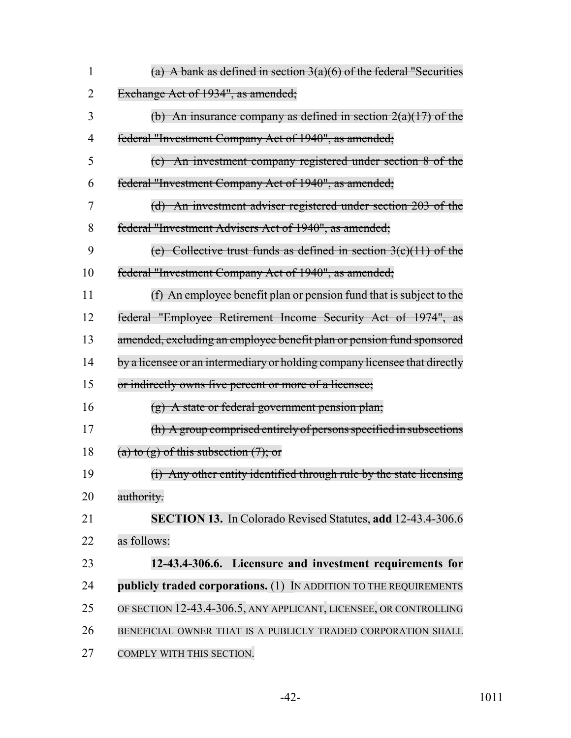| 1  | (a) A bank as defined in section $3(a)(6)$ of the federal "Securities      |
|----|----------------------------------------------------------------------------|
| 2  | Exchange Act of 1934", as amended;                                         |
| 3  | (b) An insurance company as defined in section $2(a)(17)$ of the           |
| 4  | federal "Investment Company Act of 1940", as amended;                      |
| 5  | (c) An investment company registered under section 8 of the                |
| 6  | federal "Investment Company Act of 1940", as amended;                      |
| 7  | (d) An investment adviser registered under section 203 of the              |
| 8  | federal "Investment Advisers Act of 1940", as amended;                     |
| 9  | (e) Collective trust funds as defined in section $3(c)(11)$ of the         |
| 10 | federal "Investment Company Act of 1940", as amended;                      |
| 11 | (f) An employee benefit plan or pension fund that is subject to the        |
| 12 | federal "Employee Retirement Income Security Act of 1974", as              |
| 13 | amended, excluding an employee benefit plan or pension fund sponsored      |
| 14 | by a licensee or an intermediary or holding company licensee that directly |
| 15 | or indirectly owns five percent or more of a licensee;                     |
| 16 | $(g)$ A state or federal government pension plan;                          |
| 17 | (h) A group comprised entirely of persons specified in subsections         |
| 18 | (a) to $(g)$ of this subsection $(7)$ ; or                                 |
| 19 | (i) Any other entity identified through rule by the state licensing        |
| 20 | authority.                                                                 |
| 21 | SECTION 13. In Colorado Revised Statutes, add 12-43.4-306.6                |
| 22 | as follows:                                                                |
| 23 | 12-43.4-306.6. Licensure and investment requirements for                   |
| 24 | publicly traded corporations. (1) IN ADDITION TO THE REQUIREMENTS          |
| 25 | OF SECTION 12-43.4-306.5, ANY APPLICANT, LICENSEE, OR CONTROLLING          |
| 26 | BENEFICIAL OWNER THAT IS A PUBLICLY TRADED CORPORATION SHALL               |
| 27 | COMPLY WITH THIS SECTION.                                                  |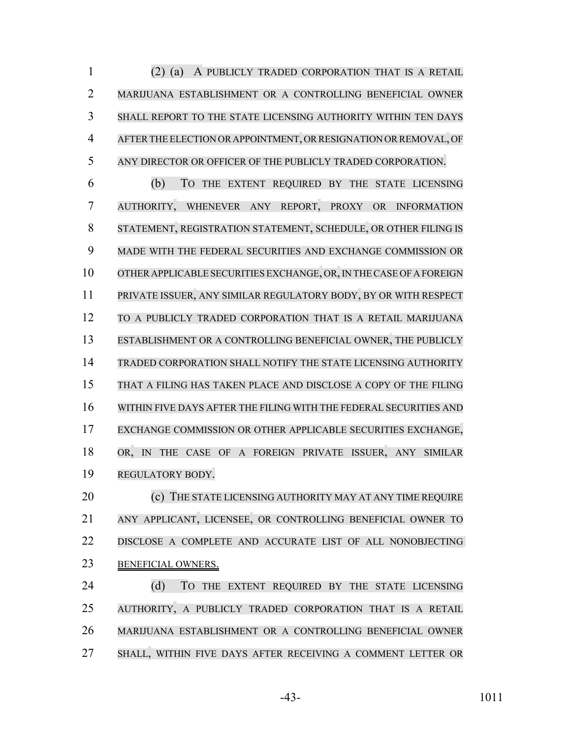(2) (a) A PUBLICLY TRADED CORPORATION THAT IS A RETAIL MARIJUANA ESTABLISHMENT OR A CONTROLLING BENEFICIAL OWNER SHALL REPORT TO THE STATE LICENSING AUTHORITY WITHIN TEN DAYS AFTERTHE ELECTION OR APPOINTMENT, OR RESIGNATION OR REMOVAL, OF ANY DIRECTOR OR OFFICER OF THE PUBLICLY TRADED CORPORATION.

 (b) TO THE EXTENT REQUIRED BY THE STATE LICENSING AUTHORITY, WHENEVER ANY REPORT, PROXY OR INFORMATION STATEMENT, REGISTRATION STATEMENT, SCHEDULE, OR OTHER FILING IS MADE WITH THE FEDERAL SECURITIES AND EXCHANGE COMMISSION OR OTHER APPLICABLE SECURITIES EXCHANGE, OR,IN THECASE OFA FOREIGN PRIVATE ISSUER, ANY SIMILAR REGULATORY BODY, BY OR WITH RESPECT TO A PUBLICLY TRADED CORPORATION THAT IS A RETAIL MARIJUANA ESTABLISHMENT OR A CONTROLLING BENEFICIAL OWNER, THE PUBLICLY TRADED CORPORATION SHALL NOTIFY THE STATE LICENSING AUTHORITY THAT A FILING HAS TAKEN PLACE AND DISCLOSE A COPY OF THE FILING WITHIN FIVE DAYS AFTER THE FILING WITH THE FEDERAL SECURITIES AND EXCHANGE COMMISSION OR OTHER APPLICABLE SECURITIES EXCHANGE, OR, IN THE CASE OF A FOREIGN PRIVATE ISSUER, ANY SIMILAR REGULATORY BODY.

**(c)** THE STATE LICENSING AUTHORITY MAY AT ANY TIME REQUIRE ANY APPLICANT, LICENSEE, OR CONTROLLING BENEFICIAL OWNER TO DISCLOSE A COMPLETE AND ACCURATE LIST OF ALL NONOBJECTING BENEFICIAL OWNERS.

24 (d) TO THE EXTENT REQUIRED BY THE STATE LICENSING AUTHORITY, A PUBLICLY TRADED CORPORATION THAT IS A RETAIL MARIJUANA ESTABLISHMENT OR A CONTROLLING BENEFICIAL OWNER SHALL, WITHIN FIVE DAYS AFTER RECEIVING A COMMENT LETTER OR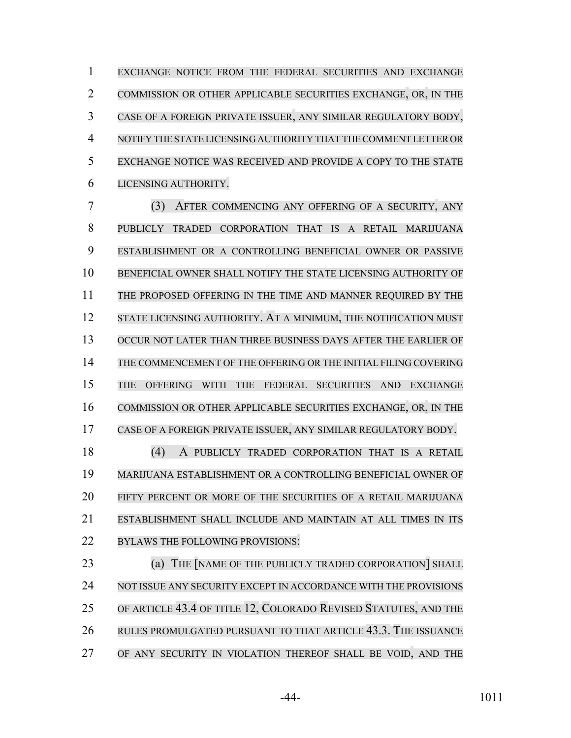EXCHANGE NOTICE FROM THE FEDERAL SECURITIES AND EXCHANGE COMMISSION OR OTHER APPLICABLE SECURITIES EXCHANGE, OR, IN THE CASE OF A FOREIGN PRIVATE ISSUER, ANY SIMILAR REGULATORY BODY, NOTIFY THE STATE LICENSING AUTHORITY THAT THE COMMENT LETTER OR EXCHANGE NOTICE WAS RECEIVED AND PROVIDE A COPY TO THE STATE LICENSING AUTHORITY.

 (3) AFTER COMMENCING ANY OFFERING OF A SECURITY, ANY PUBLICLY TRADED CORPORATION THAT IS A RETAIL MARIJUANA ESTABLISHMENT OR A CONTROLLING BENEFICIAL OWNER OR PASSIVE BENEFICIAL OWNER SHALL NOTIFY THE STATE LICENSING AUTHORITY OF 11 THE PROPOSED OFFERING IN THE TIME AND MANNER REQUIRED BY THE 12 STATE LICENSING AUTHORITY. AT A MINIMUM, THE NOTIFICATION MUST OCCUR NOT LATER THAN THREE BUSINESS DAYS AFTER THE EARLIER OF THE COMMENCEMENT OF THE OFFERING OR THE INITIAL FILING COVERING THE OFFERING WITH THE FEDERAL SECURITIES AND EXCHANGE COMMISSION OR OTHER APPLICABLE SECURITIES EXCHANGE, OR, IN THE CASE OF A FOREIGN PRIVATE ISSUER, ANY SIMILAR REGULATORY BODY.

 (4) A PUBLICLY TRADED CORPORATION THAT IS A RETAIL MARIJUANA ESTABLISHMENT OR A CONTROLLING BENEFICIAL OWNER OF FIFTY PERCENT OR MORE OF THE SECURITIES OF A RETAIL MARIJUANA ESTABLISHMENT SHALL INCLUDE AND MAINTAIN AT ALL TIMES IN ITS BYLAWS THE FOLLOWING PROVISIONS:

**(a) THE NAME OF THE PUBLICLY TRADED CORPORATION** SHALL NOT ISSUE ANY SECURITY EXCEPT IN ACCORDANCE WITH THE PROVISIONS OF ARTICLE 43.4 OF TITLE 12, COLORADO REVISED STATUTES, AND THE RULES PROMULGATED PURSUANT TO THAT ARTICLE 43.3. THE ISSUANCE OF ANY SECURITY IN VIOLATION THEREOF SHALL BE VOID, AND THE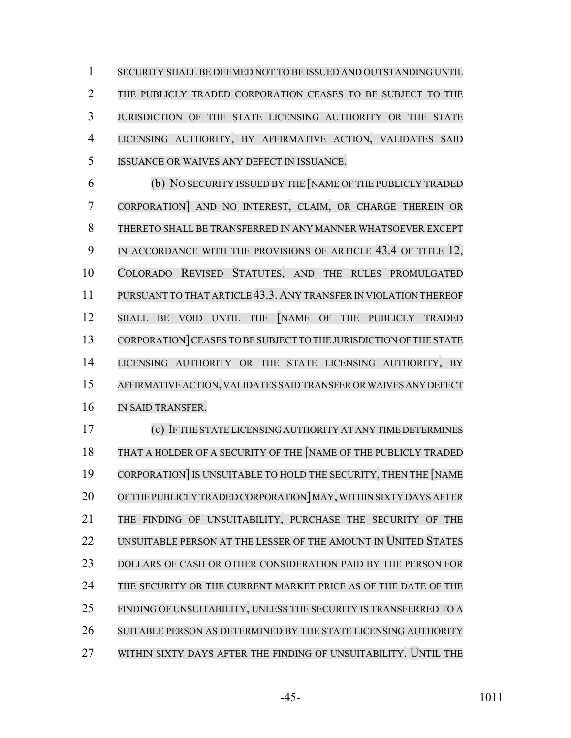SECURITY SHALL BE DEEMED NOT TO BE ISSUED AND OUTSTANDING UNTIL THE PUBLICLY TRADED CORPORATION CEASES TO BE SUBJECT TO THE JURISDICTION OF THE STATE LICENSING AUTHORITY OR THE STATE LICENSING AUTHORITY, BY AFFIRMATIVE ACTION, VALIDATES SAID ISSUANCE OR WAIVES ANY DEFECT IN ISSUANCE.

 (b) NO SECURITY ISSUED BY THE [NAME OF THE PUBLICLY TRADED CORPORATION] AND NO INTEREST, CLAIM, OR CHARGE THEREIN OR THERETO SHALL BE TRANSFERRED IN ANY MANNER WHATSOEVER EXCEPT 9 IN ACCORDANCE WITH THE PROVISIONS OF ARTICLE 43.4 OF TITLE 12, COLORADO REVISED STATUTES, AND THE RULES PROMULGATED PURSUANT TO THAT ARTICLE 43.3.ANY TRANSFERIN VIOLATION THEREOF SHALL BE VOID UNTIL THE [NAME OF THE PUBLICLY TRADED 13 CORPORATION CEASES TO BE SUBJECT TO THE JURISDICTION OF THE STATE LICENSING AUTHORITY OR THE STATE LICENSING AUTHORITY, BY AFFIRMATIVE ACTION, VALIDATES SAID TRANSFER OR WAIVES ANY DEFECT IN SAID TRANSFER.

 (c) IF THE STATE LICENSING AUTHORITY AT ANY TIME DETERMINES 18 THAT A HOLDER OF A SECURITY OF THE NAME OF THE PUBLICLY TRADED CORPORATION] IS UNSUITABLE TO HOLD THE SECURITY, THEN THE [NAME 20 OF THE PUBLICLY TRADED CORPORATION MAY, WITHIN SIXTY DAYS AFTER THE FINDING OF UNSUITABILITY, PURCHASE THE SECURITY OF THE 22 UNSUITABLE PERSON AT THE LESSER OF THE AMOUNT IN UNITED STATES DOLLARS OF CASH OR OTHER CONSIDERATION PAID BY THE PERSON FOR 24 THE SECURITY OR THE CURRENT MARKET PRICE AS OF THE DATE OF THE 25 FINDING OF UNSUITABILITY, UNLESS THE SECURITY IS TRANSFERRED TO A SUITABLE PERSON AS DETERMINED BY THE STATE LICENSING AUTHORITY WITHIN SIXTY DAYS AFTER THE FINDING OF UNSUITABILITY. UNTIL THE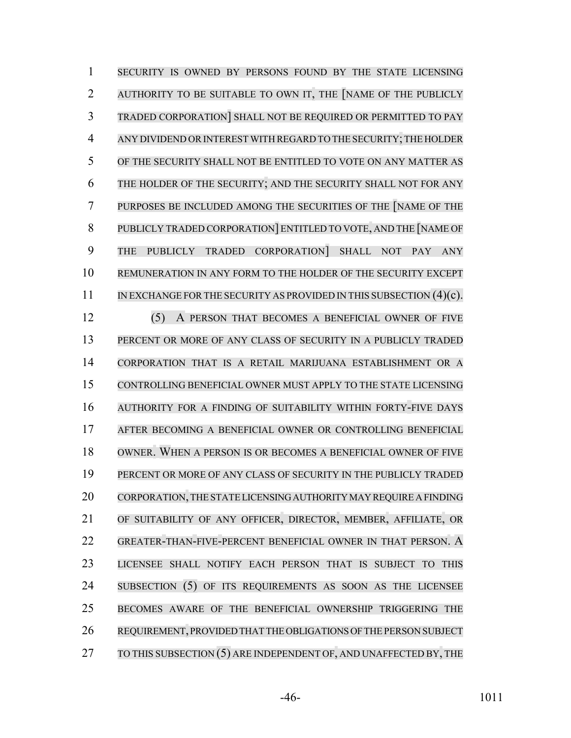SECURITY IS OWNED BY PERSONS FOUND BY THE STATE LICENSING AUTHORITY TO BE SUITABLE TO OWN IT, THE [NAME OF THE PUBLICLY TRADED CORPORATION] SHALL NOT BE REQUIRED OR PERMITTED TO PAY ANY DIVIDEND ORINTEREST WITH REGARD TO THE SECURITY;THE HOLDER OF THE SECURITY SHALL NOT BE ENTITLED TO VOTE ON ANY MATTER AS THE HOLDER OF THE SECURITY; AND THE SECURITY SHALL NOT FOR ANY PURPOSES BE INCLUDED AMONG THE SECURITIES OF THE [NAME OF THE PUBLICLY TRADED CORPORATION] ENTITLED TO VOTE, AND THE [NAME OF THE PUBLICLY TRADED CORPORATION] SHALL NOT PAY ANY REMUNERATION IN ANY FORM TO THE HOLDER OF THE SECURITY EXCEPT 11 IN EXCHANGE FOR THE SECURITY AS PROVIDED IN THIS SUBSECTION (4)(c). (5) A PERSON THAT BECOMES A BENEFICIAL OWNER OF FIVE PERCENT OR MORE OF ANY CLASS OF SECURITY IN A PUBLICLY TRADED CORPORATION THAT IS A RETAIL MARIJUANA ESTABLISHMENT OR A CONTROLLING BENEFICIAL OWNER MUST APPLY TO THE STATE LICENSING AUTHORITY FOR A FINDING OF SUITABILITY WITHIN FORTY-FIVE DAYS AFTER BECOMING A BENEFICIAL OWNER OR CONTROLLING BENEFICIAL OWNER. WHEN A PERSON IS OR BECOMES A BENEFICIAL OWNER OF FIVE PERCENT OR MORE OF ANY CLASS OF SECURITY IN THE PUBLICLY TRADED CORPORATION,THE STATE LICENSING AUTHORITY MAY REQUIRE A FINDING OF SUITABILITY OF ANY OFFICER, DIRECTOR, MEMBER, AFFILIATE, OR GREATER-THAN-FIVE-PERCENT BENEFICIAL OWNER IN THAT PERSON. A LICENSEE SHALL NOTIFY EACH PERSON THAT IS SUBJECT TO THIS 24 SUBSECTION (5) OF ITS REQUIREMENTS AS SOON AS THE LICENSEE BECOMES AWARE OF THE BENEFICIAL OWNERSHIP TRIGGERING THE REQUIREMENT, PROVIDED THAT THE OBLIGATIONS OF THE PERSON SUBJECT 27 TO THIS SUBSECTION (5) ARE INDEPENDENT OF, AND UNAFFECTED BY, THE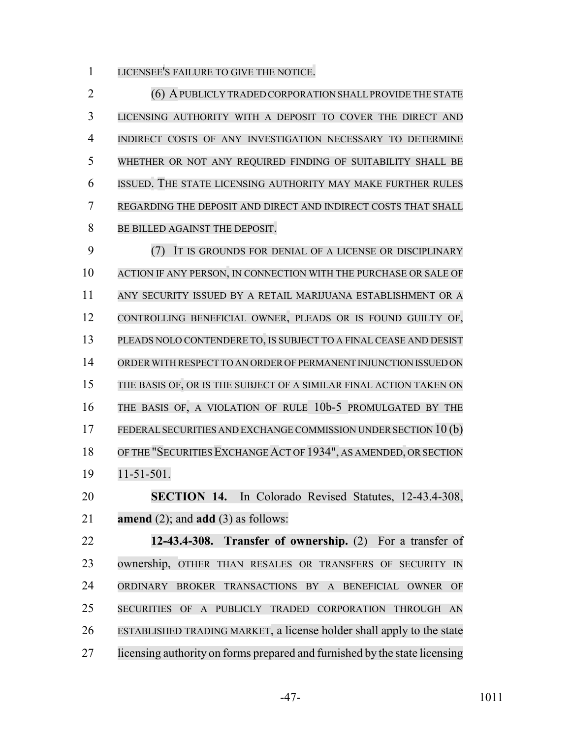LICENSEE'S FAILURE TO GIVE THE NOTICE.

2 (6) A PUBLICLY TRADED CORPORATION SHALL PROVIDE THE STATE LICENSING AUTHORITY WITH A DEPOSIT TO COVER THE DIRECT AND INDIRECT COSTS OF ANY INVESTIGATION NECESSARY TO DETERMINE WHETHER OR NOT ANY REQUIRED FINDING OF SUITABILITY SHALL BE ISSUED. THE STATE LICENSING AUTHORITY MAY MAKE FURTHER RULES REGARDING THE DEPOSIT AND DIRECT AND INDIRECT COSTS THAT SHALL BE BILLED AGAINST THE DEPOSIT.

 (7) IT IS GROUNDS FOR DENIAL OF A LICENSE OR DISCIPLINARY ACTION IF ANY PERSON, IN CONNECTION WITH THE PURCHASE OR SALE OF ANY SECURITY ISSUED BY A RETAIL MARIJUANA ESTABLISHMENT OR A CONTROLLING BENEFICIAL OWNER, PLEADS OR IS FOUND GUILTY OF, PLEADS NOLO CONTENDERE TO, IS SUBJECT TO A FINAL CEASE AND DESIST ORDERWITH RESPECT TO AN ORDER OF PERMANENT INJUNCTION ISSUED ON THE BASIS OF, OR IS THE SUBJECT OF A SIMILAR FINAL ACTION TAKEN ON THE BASIS OF, A VIOLATION OF RULE 10b-5 PROMULGATED BY THE 17 FEDERAL SECURITIES AND EXCHANGE COMMISSION UNDER SECTION 10 (b) 18 OF THE "SECURITIES EXCHANGE ACT OF 1934", AS AMENDED, OR SECTION 11-51-501. **SECTION 14.** In Colorado Revised Statutes, 12-43.4-308,

**amend** (2); and **add** (3) as follows:

 **12-43.4-308. Transfer of ownership.** (2) For a transfer of ownership, OTHER THAN RESALES OR TRANSFERS OF SECURITY IN ORDINARY BROKER TRANSACTIONS BY A BENEFICIAL OWNER OF SECURITIES OF A PUBLICLY TRADED CORPORATION THROUGH AN ESTABLISHED TRADING MARKET, a license holder shall apply to the state licensing authority on forms prepared and furnished by the state licensing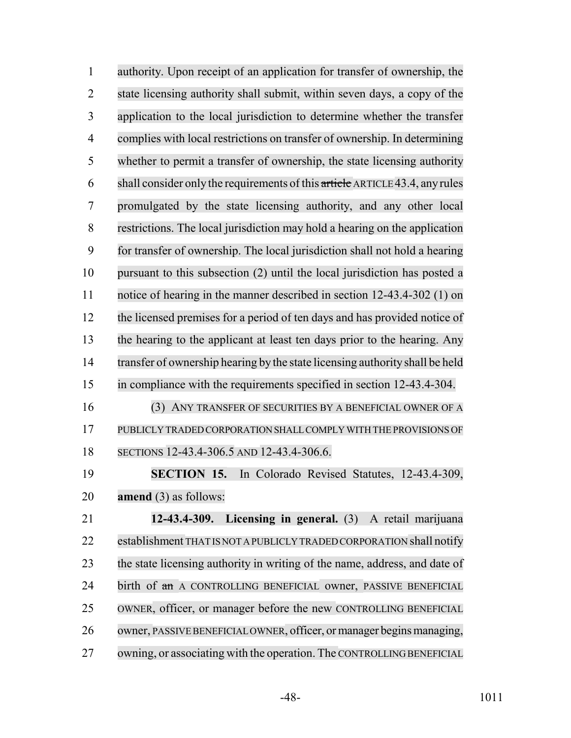| $\mathbf{1}$   | authority. Upon receipt of an application for transfer of ownership, the     |
|----------------|------------------------------------------------------------------------------|
| $\overline{2}$ | state licensing authority shall submit, within seven days, a copy of the     |
| 3              | application to the local jurisdiction to determine whether the transfer      |
| $\overline{4}$ | complies with local restrictions on transfer of ownership. In determining    |
| 5              | whether to permit a transfer of ownership, the state licensing authority     |
| 6              | shall consider only the requirements of this article ARTICLE 43.4, any rules |
| 7              | promulgated by the state licensing authority, and any other local            |
| 8              | restrictions. The local jurisdiction may hold a hearing on the application   |
| 9              | for transfer of ownership. The local jurisdiction shall not hold a hearing   |
| 10             | pursuant to this subsection (2) until the local jurisdiction has posted a    |
| 11             | notice of hearing in the manner described in section 12-43.4-302 (1) on      |
| 12             | the licensed premises for a period of ten days and has provided notice of    |
| 13             | the hearing to the applicant at least ten days prior to the hearing. Any     |
| 14             | transfer of ownership hearing by the state licensing authority shall be held |
| 15             | in compliance with the requirements specified in section 12-43.4-304.        |
| 16             | (3) ANY TRANSFER OF SECURITIES BY A BENEFICIAL OWNER OF A                    |
| 17             | PUBLICLY TRADED CORPORATION SHALL COMPLY WITH THE PROVISIONS OF              |
| 18             | SECTIONS 12-43.4-306.5 AND 12-43.4-306.6.                                    |
| 19             | SECTION 15. In Colorado Revised Statutes, 12-43.4-309,                       |
| 20             | amend $(3)$ as follows:                                                      |
| 21             | 12-43.4-309.<br>Licensing in general. (3) A retail marijuana                 |
| 22             | establishment THAT IS NOT A PUBLICLY TRADED CORPORATION shall notify         |
| 23             | the state licensing authority in writing of the name, address, and date of   |
| 24             | birth of an A CONTROLLING BENEFICIAL owner, PASSIVE BENEFICIAL               |
| 25             | OWNER, officer, or manager before the new CONTROLLING BENEFICIAL             |
| 26             | owner, PASSIVE BENEFICIAL OWNER, officer, or manager begins managing,        |
| 27             | owning, or associating with the operation. The CONTROLLING BENEFICIAL        |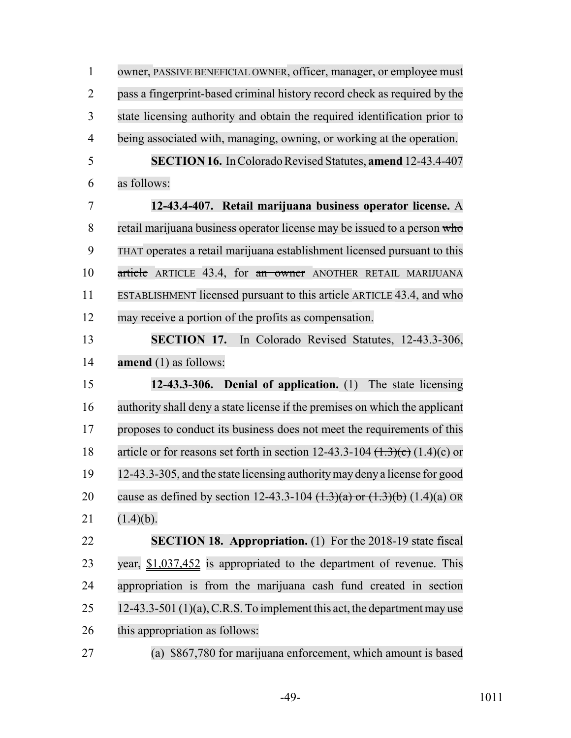| $\mathbf{1}$   | owner, PASSIVE BENEFICIAL OWNER, officer, manager, or employee must                          |
|----------------|----------------------------------------------------------------------------------------------|
| $\overline{2}$ | pass a fingerprint-based criminal history record check as required by the                    |
| 3              | state licensing authority and obtain the required identification prior to                    |
| 4              | being associated with, managing, owning, or working at the operation.                        |
| 5              | <b>SECTION 16.</b> In Colorado Revised Statutes, amend 12-43.4-407                           |
| 6              | as follows:                                                                                  |
| 7              | 12-43.4-407. Retail marijuana business operator license. A                                   |
| 8              | retail marijuana business operator license may be issued to a person who                     |
| 9              | THAT operates a retail marijuana establishment licensed pursuant to this                     |
| 10             | article ARTICLE 43.4, for an owner ANOTHER RETAIL MARIJUANA                                  |
| 11             | ESTABLISHMENT licensed pursuant to this article ARTICLE 43.4, and who                        |
| 12             | may receive a portion of the profits as compensation.                                        |
| 13             | <b>SECTION 17.</b><br>In Colorado Revised Statutes, 12-43.3-306,                             |
| 14             | amend (1) as follows:                                                                        |
| 15             | 12-43.3-306. Denial of application. (1) The state licensing                                  |
| 16             | authority shall deny a state license if the premises on which the applicant                  |
| 17             | proposes to conduct its business does not meet the requirements of this                      |
| 18             | article or for reasons set forth in section 12-43.3-104 $(\text{1.3})(\text{c})$ (1.4)(c) or |
| 19             | 12-43.3-305, and the state licensing authority may deny a license for good                   |
| 20             | cause as defined by section 12-43.3-104 $(\frac{1.3}{a})$ or $(\frac{1.3}{b})$ $(1.4)(a)$ OR |
| 21             | $(1.4)(b)$ .                                                                                 |
| 22             | <b>SECTION 18. Appropriation.</b> (1) For the 2018-19 state fiscal                           |
| 23             | year, $$1,037,452$ is appropriated to the department of revenue. This                        |
| 24             | appropriation is from the marijuana cash fund created in section                             |
| 25             | 12-43.3-501 $(1)(a)$ , C.R.S. To implement this act, the department may use                  |
| 26             | this appropriation as follows:                                                               |
| 27             | (a) \$867,780 for marijuana enforcement, which amount is based                               |